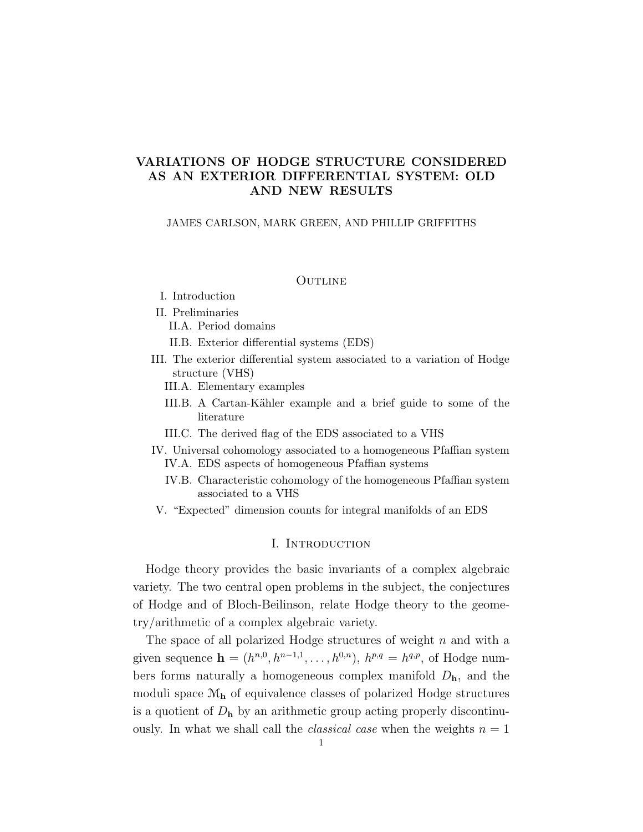### VARIATIONS OF HODGE STRUCTURE CONSIDERED AS AN EXTERIOR DIFFERENTIAL SYSTEM: OLD AND NEW RESULTS

JAMES CARLSON, MARK GREEN, AND PHILLIP GRIFFITHS

#### **OUTLINE**

- I. Introduction
- II. Preliminaries
	- II.A. Period domains
	- II.B. Exterior differential systems (EDS)
- III. The exterior differential system associated to a variation of Hodge structure (VHS)
	- III.A. Elementary examples
	- III.B. A Cartan-Kähler example and a brief guide to some of the literature
	- III.C. The derived flag of the EDS associated to a VHS
- IV. Universal cohomology associated to a homogeneous Pfaffian system IV.A. EDS aspects of homogeneous Pfaffian systems
	- IV.B. Characteristic cohomology of the homogeneous Pfaffian system associated to a VHS
- V. "Expected" dimension counts for integral manifolds of an EDS

### I. INTRODUCTION

Hodge theory provides the basic invariants of a complex algebraic variety. The two central open problems in the subject, the conjectures of Hodge and of Bloch-Beilinson, relate Hodge theory to the geometry/arithmetic of a complex algebraic variety.

The space of all polarized Hodge structures of weight  $n$  and with a given sequence  $\mathbf{h} = (h^{n,0}, h^{n-1,1}, \dots, h^{0,n}), h^{p,q} = h^{q,p}$ , of Hodge numbers forms naturally a homogeneous complex manifold  $D_{h}$ , and the moduli space  $M_h$  of equivalence classes of polarized Hodge structures is a quotient of  $D<sub>h</sub>$  by an arithmetic group acting properly discontinuously. In what we shall call the *classical case* when the weights  $n = 1$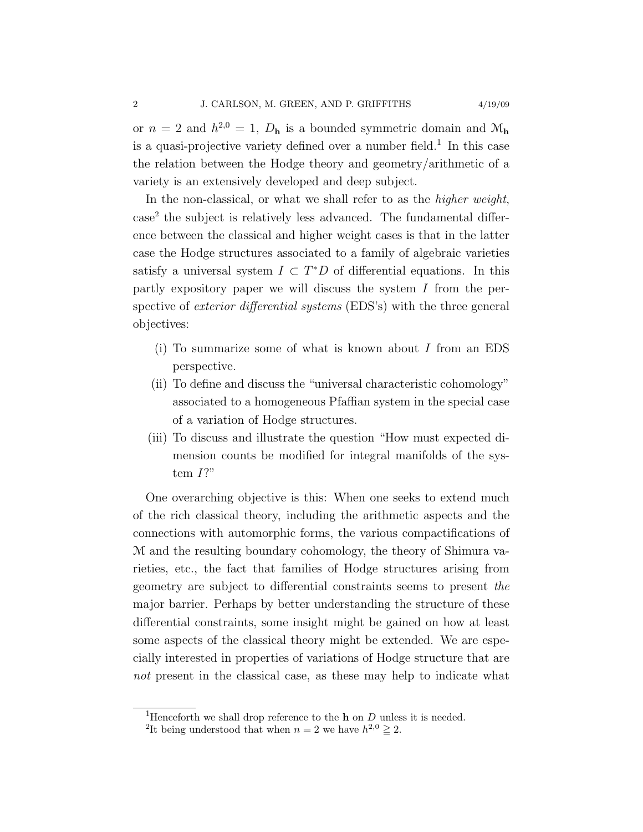variety is an extensively developed and deep subject.

or  $n = 2$  and  $h^{2,0} = 1$ ,  $D_h$  is a bounded symmetric domain and  $\mathcal{M}_h$ is a quasi-projective variety defined over a number field.<sup>1</sup> In this case the relation between the Hodge theory and geometry/arithmetic of a

In the non-classical, or what we shall refer to as the *higher weight*, case<sup>2</sup> the subject is relatively less advanced. The fundamental difference between the classical and higher weight cases is that in the latter case the Hodge structures associated to a family of algebraic varieties satisfy a universal system  $I \subset T^*D$  of differential equations. In this partly expository paper we will discuss the system  $I$  from the perspective of *exterior differential systems* (EDS's) with the three general objectives:

- (i) To summarize some of what is known about  $I$  from an EDS perspective.
- (ii) To define and discuss the "universal characteristic cohomology" associated to a homogeneous Pfaffian system in the special case of a variation of Hodge structures.
- (iii) To discuss and illustrate the question "How must expected dimension counts be modified for integral manifolds of the system  $I$ ?"

One overarching objective is this: When one seeks to extend much of the rich classical theory, including the arithmetic aspects and the connections with automorphic forms, the various compactifications of M and the resulting boundary cohomology, the theory of Shimura varieties, etc., the fact that families of Hodge structures arising from geometry are subject to differential constraints seems to present the major barrier. Perhaps by better understanding the structure of these differential constraints, some insight might be gained on how at least some aspects of the classical theory might be extended. We are especially interested in properties of variations of Hodge structure that are not present in the classical case, as these may help to indicate what

<sup>&</sup>lt;sup>1</sup>Henceforth we shall drop reference to the **h** on  $D$  unless it is needed.

<sup>&</sup>lt;sup>2</sup>It being understood that when  $n = 2$  we have  $h^{2,0} \ge 2$ .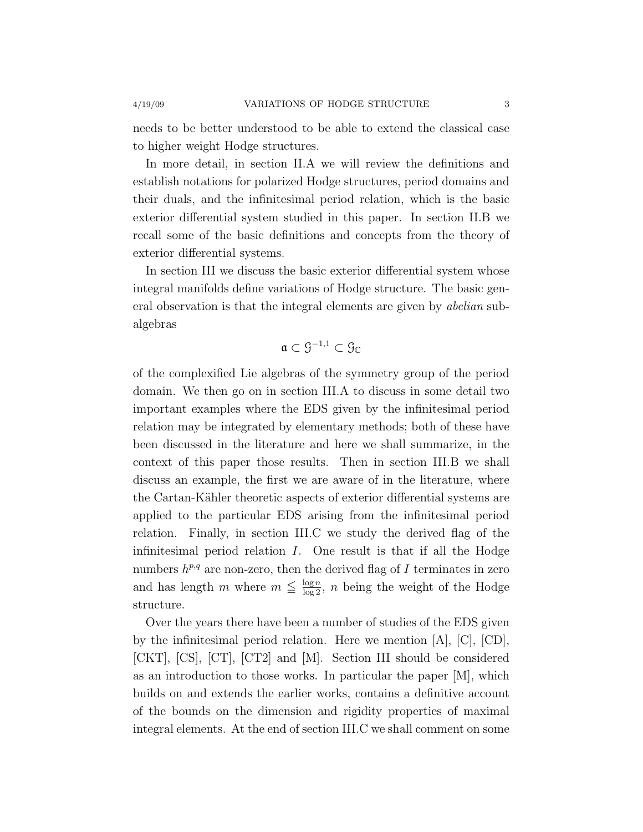needs to be better understood to be able to extend the classical case to higher weight Hodge structures.

In more detail, in section II.A we will review the definitions and establish notations for polarized Hodge structures, period domains and their duals, and the infinitesimal period relation, which is the basic exterior differential system studied in this paper. In section II.B we recall some of the basic definitions and concepts from the theory of exterior differential systems.

In section III we discuss the basic exterior differential system whose integral manifolds define variations of Hodge structure. The basic general observation is that the integral elements are given by abelian subalgebras

$$
\mathfrak{a} \subset \mathfrak{G}^{-1,1} \subset \mathfrak{G}_{\mathbb{C}}
$$

of the complexified Lie algebras of the symmetry group of the period domain. We then go on in section III.A to discuss in some detail two important examples where the EDS given by the infinitesimal period relation may be integrated by elementary methods; both of these have been discussed in the literature and here we shall summarize, in the context of this paper those results. Then in section III.B we shall discuss an example, the first we are aware of in the literature, where the Cartan-Kähler theoretic aspects of exterior differential systems are applied to the particular EDS arising from the infinitesimal period relation. Finally, in section III.C we study the derived flag of the infinitesimal period relation  $I$ . One result is that if all the Hodge numbers  $h^{p,q}$  are non-zero, then the derived flag of I terminates in zero and has length m where  $m \leq \frac{\log n}{\log 2}$ , n being the weight of the Hodge structure.

Over the years there have been a number of studies of the EDS given by the infinitesimal period relation. Here we mention [A], [C], [CD], [CKT], [CS], [CT], [CT2] and [M]. Section III should be considered as an introduction to those works. In particular the paper [M], which builds on and extends the earlier works, contains a definitive account of the bounds on the dimension and rigidity properties of maximal integral elements. At the end of section III.C we shall comment on some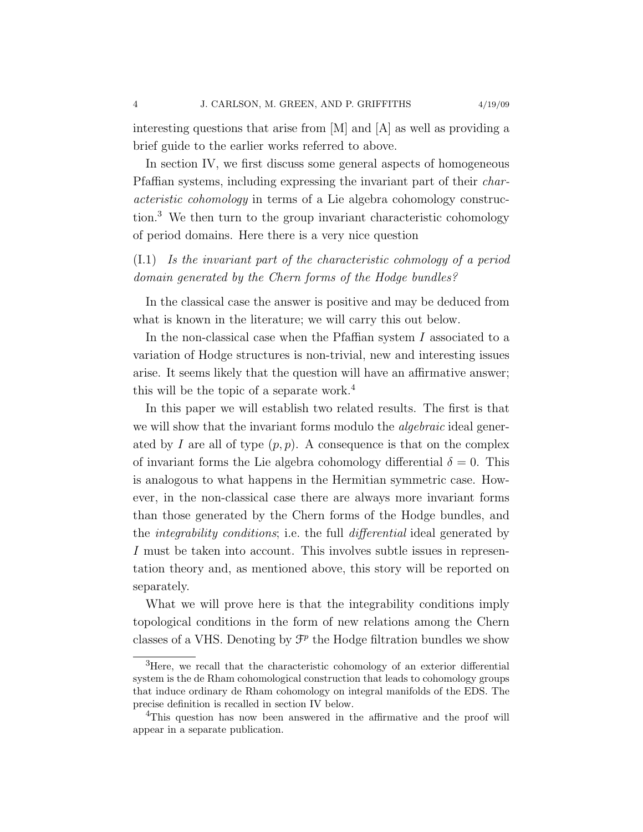interesting questions that arise from [M] and [A] as well as providing a brief guide to the earlier works referred to above.

In section IV, we first discuss some general aspects of homogeneous Pfaffian systems, including expressing the invariant part of their characteristic cohomology in terms of a Lie algebra cohomology construction.<sup>3</sup> We then turn to the group invariant characteristic cohomology of period domains. Here there is a very nice question

## (I.1) Is the invariant part of the characteristic cohmology of a period domain generated by the Chern forms of the Hodge bundles?

In the classical case the answer is positive and may be deduced from what is known in the literature; we will carry this out below.

In the non-classical case when the Pfaffian system I associated to a variation of Hodge structures is non-trivial, new and interesting issues arise. It seems likely that the question will have an affirmative answer; this will be the topic of a separate work.<sup>4</sup>

In this paper we will establish two related results. The first is that we will show that the invariant forms modulo the *algebraic* ideal generated by I are all of type  $(p, p)$ . A consequence is that on the complex of invariant forms the Lie algebra cohomology differential  $\delta = 0$ . This is analogous to what happens in the Hermitian symmetric case. However, in the non-classical case there are always more invariant forms than those generated by the Chern forms of the Hodge bundles, and the integrability conditions; i.e. the full differential ideal generated by I must be taken into account. This involves subtle issues in representation theory and, as mentioned above, this story will be reported on separately.

What we will prove here is that the integrability conditions imply topological conditions in the form of new relations among the Chern classes of a VHS. Denoting by  $\mathcal{F}^p$  the Hodge filtration bundles we show

<sup>3</sup>Here, we recall that the characteristic cohomology of an exterior differential system is the de Rham cohomological construction that leads to cohomology groups that induce ordinary de Rham cohomology on integral manifolds of the EDS. The precise definition is recalled in section IV below.

<sup>&</sup>lt;sup>4</sup>This question has now been answered in the affirmative and the proof will appear in a separate publication.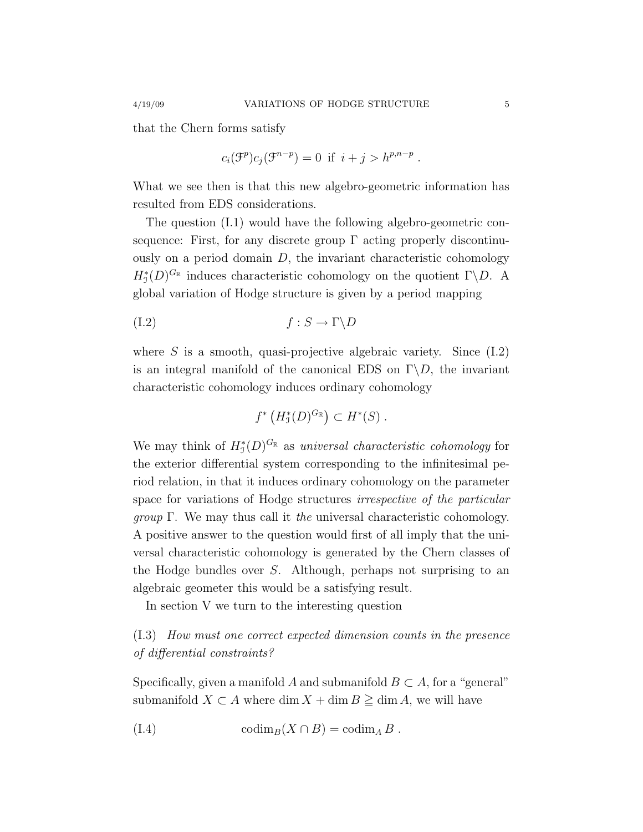that the Chern forms satisfy

$$
c_i(\mathcal{F}^p)c_j(\mathcal{F}^{n-p}) = 0 \text{ if } i+j > h^{p,n-p} .
$$

What we see then is that this new algebro-geometric information has resulted from EDS considerations.

The question (I.1) would have the following algebro-geometric consequence: First, for any discrete group  $\Gamma$  acting properly discontinuously on a period domain  $D$ , the invariant characteristic cohomology  $H_{\mathcal{I}}^*(D)^{G_{\mathbb{R}}}$  induces characteristic cohomology on the quotient  $\Gamma \backslash D$ . A global variation of Hodge structure is given by a period mapping

$$
(I.2) \t\t f : S \to \Gamma \backslash D
$$

where  $S$  is a smooth, quasi-projective algebraic variety. Since  $(I.2)$ is an integral manifold of the canonical EDS on  $\Gamma D$ , the invariant characteristic cohomology induces ordinary cohomology

$$
f^*\left(H^*_\mathfrak{I}(D)^{G_{\mathbb{R}}}\right) \subset H^*(S).
$$

We may think of  $H^*_J(D)^{G_{\mathbb{R}}}$  as universal characteristic cohomology for the exterior differential system corresponding to the infinitesimal period relation, in that it induces ordinary cohomology on the parameter space for variations of Hodge structures irrespective of the particular *group*  $\Gamma$ . We may thus call it the universal characteristic cohomology. A positive answer to the question would first of all imply that the universal characteristic cohomology is generated by the Chern classes of the Hodge bundles over S. Although, perhaps not surprising to an algebraic geometer this would be a satisfying result.

In section V we turn to the interesting question

## (I.3) How must one correct expected dimension counts in the presence of differential constraints?

Specifically, given a manifold A and submanifold  $B \subset A$ , for a "general" submanifold  $X \subset A$  where dim  $X + \dim B \ge \dim A$ , we will have

(1.4) 
$$
\operatorname{codim}_B(X \cap B) = \operatorname{codim}_A B.
$$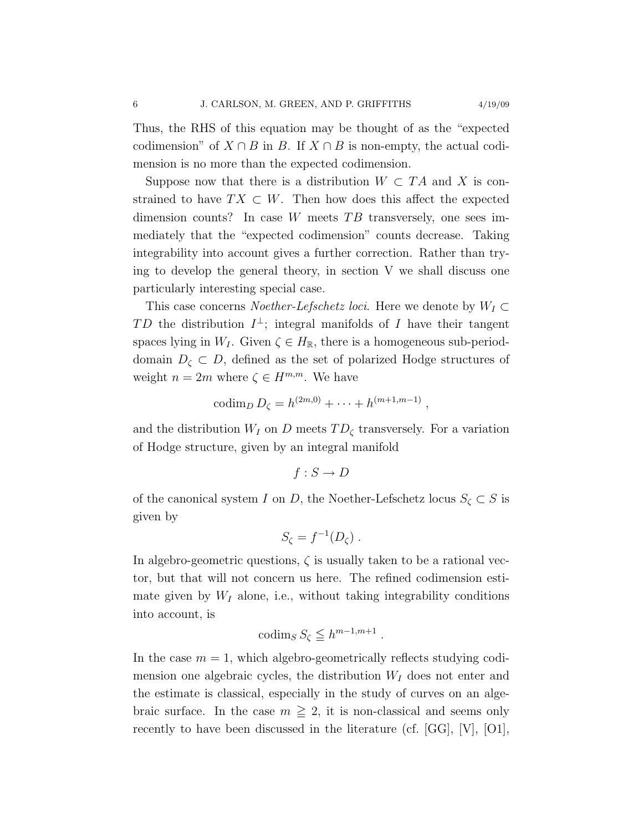Thus, the RHS of this equation may be thought of as the "expected codimension" of  $X \cap B$  in B. If  $X \cap B$  is non-empty, the actual codimension is no more than the expected codimension.

Suppose now that there is a distribution  $W \subset TA$  and X is constrained to have  $TX \subset W$ . Then how does this affect the expected dimension counts? In case  $W$  meets  $TB$  transversely, one sees immediately that the "expected codimension" counts decrease. Taking integrability into account gives a further correction. Rather than trying to develop the general theory, in section V we shall discuss one particularly interesting special case.

This case concerns *Noether-Lefschetz loci*. Here we denote by  $W_I \subset$ TD the distribution  $I^{\perp}$ ; integral manifolds of I have their tangent spaces lying in  $W_I$ . Given  $\zeta \in H_{\mathbb{R}}$ , there is a homogeneous sub-perioddomain  $D_{\zeta} \subset D$ , defined as the set of polarized Hodge structures of weight  $n = 2m$  where  $\zeta \in H^{m,m}$ . We have

$$
codim_D D_{\zeta} = h^{(2m,0)} + \cdots + h^{(m+1,m-1)},
$$

and the distribution  $W_I$  on D meets  $TD_{\zeta}$  transversely. For a variation of Hodge structure, given by an integral manifold

$$
f: S \to D
$$

of the canonical system I on D, the Noether-Lefschetz locus  $S_{\zeta} \subset S$  is given by

$$
S_{\zeta} = f^{-1}(D_{\zeta}) \; .
$$

In algebro-geometric questions,  $\zeta$  is usually taken to be a rational vector, but that will not concern us here. The refined codimension estimate given by  $W_I$  alone, i.e., without taking integrability conditions into account, is

$$
codim_S S_{\zeta} \leq h^{m-1,m+1} .
$$

In the case  $m = 1$ , which algebro-geometrically reflects studying codimension one algebraic cycles, the distribution  $W_I$  does not enter and the estimate is classical, especially in the study of curves on an algebraic surface. In the case  $m \geq 2$ , it is non-classical and seems only recently to have been discussed in the literature (cf. [GG], [V], [O1],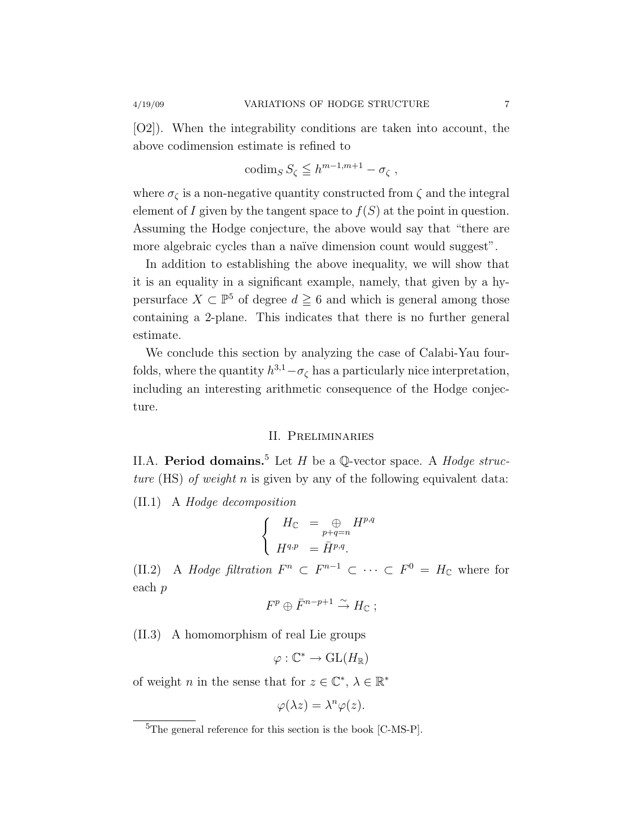[O2]). When the integrability conditions are taken into account, the above codimension estimate is refined to

$$
codim_S S_{\zeta} \leqq h^{m-1,m+1} - \sigma_{\zeta} ,
$$

where  $\sigma_{\zeta}$  is a non-negative quantity constructed from  $\zeta$  and the integral element of I given by the tangent space to  $f(S)$  at the point in question. Assuming the Hodge conjecture, the above would say that "there are more algebraic cycles than a naïve dimension count would suggest".

In addition to establishing the above inequality, we will show that it is an equality in a significant example, namely, that given by a hypersurface  $X \subset \mathbb{P}^5$  of degree  $d \geq 6$  and which is general among those containing a 2-plane. This indicates that there is no further general estimate.

We conclude this section by analyzing the case of Calabi-Yau fourfolds, where the quantity  $h^{3,1} - \sigma_{\zeta}$  has a particularly nice interpretation, including an interesting arithmetic consequence of the Hodge conjecture.

### II. Preliminaries

II.A. Period domains.<sup>5</sup> Let H be a  $\mathbb{Q}$ -vector space. A Hodge structure (HS) of weight n is given by any of the following equivalent data:

(II.1) A Hodge decomposition

$$
\begin{cases}\nH_{\mathbb{C}} = \bigoplus_{p+q=n} H^{p,q} \\
H^{q,p} = \bar{H}^{p,q}.\n\end{cases}
$$

(II.2) A Hodge filtration  $F^n \subset F^{n-1} \subset \cdots \subset F^0 = H_{\mathbb{C}}$  where for each p

$$
F^p \oplus \overline{F}^{n-p+1} \stackrel{\sim}{\to} H_{\mathbb{C}} ;
$$

(II.3) A homomorphism of real Lie groups

$$
\varphi : \mathbb{C}^* \to \mathrm{GL}(H_\mathbb{R})
$$

of weight *n* in the sense that for  $z \in \mathbb{C}^*$ ,  $\lambda \in \mathbb{R}^*$ 

$$
\varphi(\lambda z) = \lambda^n \varphi(z).
$$

 ${}^{5}$ The general reference for this section is the book [C-MS-P].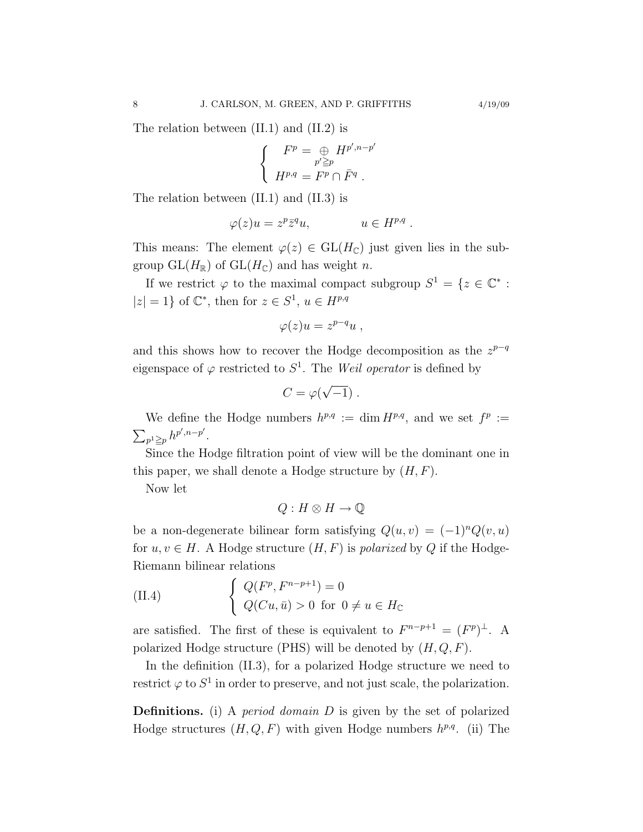The relation between (II.1) and (II.2) is

$$
\begin{cases}\nF^p = \bigoplus_{p' \geq p} H^{p', n-p'} \\
H^{p, q} = F^p \cap \overline{F}^q.\n\end{cases}
$$

The relation between (II.1) and (II.3) is

$$
\varphi(z)u = z^p \bar{z}^q u, \qquad u \in H^{p,q} .
$$

This means: The element  $\varphi(z) \in GL(H_{\mathbb{C}})$  just given lies in the subgroup  $GL(H_{\mathbb{R}})$  of  $GL(H_{\mathbb{C}})$  and has weight n.

If we restrict  $\varphi$  to the maximal compact subgroup  $S^1 = \{z \in \mathbb{C}^* :$  $|z|=1$  of  $\mathbb{C}^*$ , then for  $z \in S^1$ ,  $u \in H^{p,q}$ 

$$
\varphi(z)u=z^{p-q}u\;,
$$

and this shows how to recover the Hodge decomposition as the  $z^{p-q}$ eigenspace of  $\varphi$  restricted to  $S^1$ . The Weil operator is defined by

$$
C=\varphi(\sqrt{-1})\ .
$$

We define the Hodge numbers  $h^{p,q} := \dim H^{p,q}$ , and we set  $f^p :=$  $\sum_{p^1\geq p}h^{p',n-p'}.$ 

Since the Hodge filtration point of view will be the dominant one in this paper, we shall denote a Hodge structure by  $(H, F)$ .

Now let

$$
Q: H \otimes H \to \mathbb{Q}
$$

be a non-degenerate bilinear form satisfying  $Q(u, v) = (-1)^n Q(v, u)$ for  $u, v \in H$ . A Hodge structure  $(H, F)$  is *polarized* by Q if the Hodge-Riemann bilinear relations

(II.4) 
$$
\begin{cases} Q(F^p, F^{n-p+1}) = 0 \\ Q(Cu, \bar{u}) > 0 \text{ for } 0 \neq u \in H_{\mathbb{C}} \end{cases}
$$

are satisfied. The first of these is equivalent to  $F^{n-p+1} = (F^p)^{\perp}$ . A polarized Hodge structure (PHS) will be denoted by  $(H, Q, F)$ .

In the definition (II.3), for a polarized Hodge structure we need to restrict  $\varphi$  to  $S^1$  in order to preserve, and not just scale, the polarization.

**Definitions.** (i) A *period domain*  $D$  is given by the set of polarized Hodge structures  $(H, Q, F)$  with given Hodge numbers  $h^{p,q}$ . (ii) The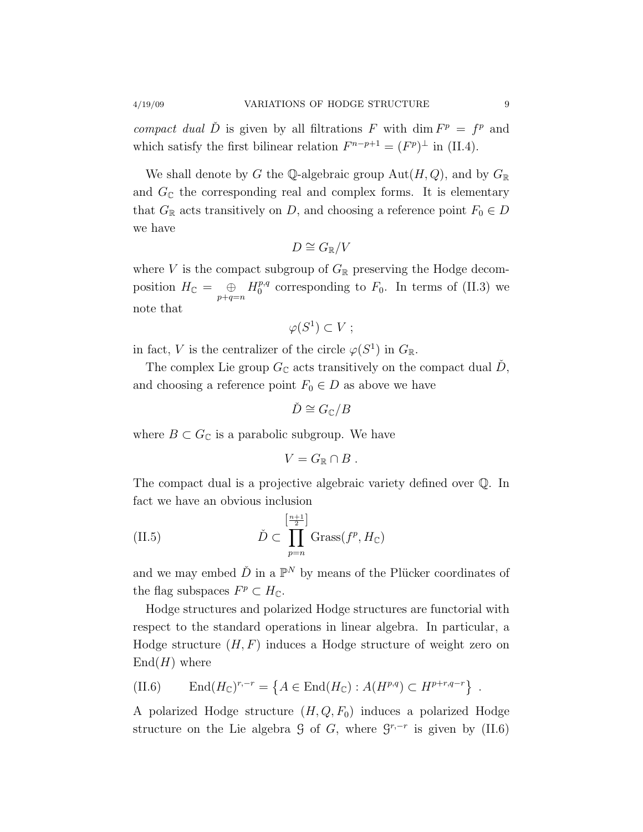compact dual  $\check{D}$  is given by all filtrations F with dim  $F^p = f^p$  and which satisfy the first bilinear relation  $F^{n-p+1} = (F^p)^{\perp}$  in (II.4).

We shall denote by G the Q-algebraic group  $Aut(H, Q)$ , and by  $G_{\mathbb{R}}$ and  $G_{\mathbb{C}}$  the corresponding real and complex forms. It is elementary that  $G_{\mathbb{R}}$  acts transitively on D, and choosing a reference point  $F_0 \in D$ we have

$$
D \cong G_{\mathbb{R}}/V
$$

where V is the compact subgroup of  $G_{\mathbb{R}}$  preserving the Hodge decomposition  $H_{\mathbb{C}} = \bigoplus_{p+q=n} H_0^{p,q}$  $_{0}^{p,q}$  corresponding to  $F_0$ . In terms of (II.3) we note that

$$
\varphi(S^1) \subset V ;
$$

in fact, V is the centralizer of the circle  $\varphi(S^1)$  in  $G_{\mathbb{R}}$ .

The complex Lie group  $G_{\mathbb{C}}$  acts transitively on the compact dual D, and choosing a reference point  $F_0 \in D$  as above we have

$$
\check{D} \cong G_{\mathbb{C}}/B
$$

where  $B \subset G_{\mathbb{C}}$  is a parabolic subgroup. We have

$$
V=G_{\mathbb{R}}\cap B.
$$

The compact dual is a projective algebraic variety defined over Q. In fact we have an obvious inclusion

(II.5) 
$$
\check{D} \subset \prod_{p=n}^{\left[\frac{n+1}{2}\right]} \text{Grass}(f^p, H_{\mathbb{C}})
$$

and we may embed  $\check{D}$  in a  $\mathbb{P}^N$  by means of the Plücker coordinates of the flag subspaces  $F^p \subset H_{\mathbb{C}}$ .

Hodge structures and polarized Hodge structures are functorial with respect to the standard operations in linear algebra. In particular, a Hodge structure  $(H, F)$  induces a Hodge structure of weight zero on  $End(H)$  where

(II.6) End(
$$
H_{\mathbb{C}}
$$
) <sup>$r, -r$</sup>  = { $A \in \text{End}(H_{\mathbb{C}}) : A(H^{p,q}) \subset H^{p+r,q-r}$  }.

A polarized Hodge structure  $(H, Q, F_0)$  induces a polarized Hodge structure on the Lie algebra  $\mathcal G$  of  $G$ , where  $\mathcal G^{r,-r}$  is given by (II.6)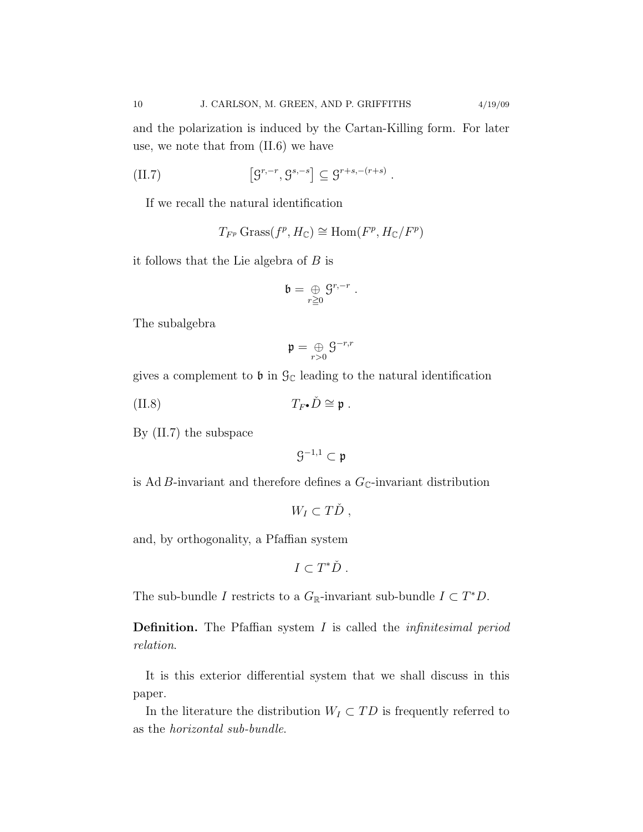and the polarization is induced by the Cartan-Killing form. For later use, we note that from (II.6) we have

(II.7) 
$$
\left[g^{r,-r}, g^{s,-s}\right] \subseteq g^{r+s,-(r+s)}.
$$

If we recall the natural identification

$$
T_{F^p}\operatorname{Grass}(f^p, H_{\mathbb{C}}) \cong \operatorname{Hom}(F^p, H_{\mathbb{C}}/F^p)
$$

it follows that the Lie algebra of B is

$$
\mathfrak{b}=\underset{r\geqq 0}{\oplus}\mathfrak{G}^{r,-r}\;.
$$

The subalgebra

$$
\mathfrak{p}=\underset{r>0}{\oplus}\mathfrak{G}^{-r,r}
$$

gives a complement to  $\mathfrak b$  in  $\mathcal G_{\mathbb C}$  leading to the natural identification

(II.8) 
$$
T_F \cdot \check{D} \cong \mathfrak{p} .
$$

By (II.7) the subspace

$$
\mathcal{G}^{-1,1}\subset\mathfrak{p}
$$

is Ad $B\text{-}\mathrm{invariant}$  and therefore defines a  $G_{\mathbb C}\text{-}\mathrm{invariant}$  distribution

$$
W_I\subset T\check{D},
$$

and, by orthogonality, a Pfaffian system

$$
I\subset T^*\check{D}\ .
$$

The sub-bundle I restricts to a  $G_{\mathbb{R}}$ -invariant sub-bundle  $I \subset T^*D$ .

**Definition.** The Pfaffian system  $I$  is called the *infinitesimal period* relation.

It is this exterior differential system that we shall discuss in this paper.

In the literature the distribution  $W_I \subset TD$  is frequently referred to as the horizontal sub-bundle.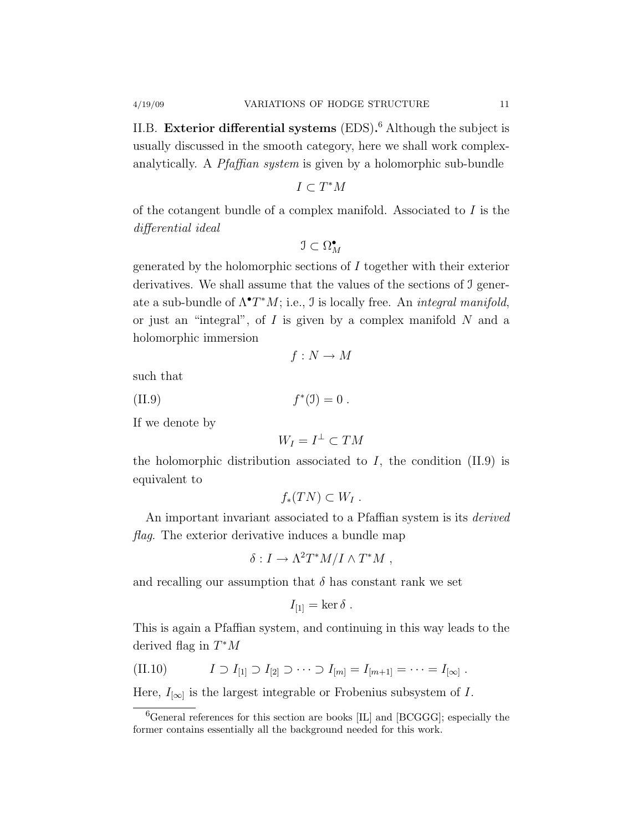II.B. Exterior differential systems (EDS).<sup>6</sup> Although the subject is usually discussed in the smooth category, here we shall work complexanalytically. A Pfaffian system is given by a holomorphic sub-bundle

$$
I\subset T^*M
$$

of the cotangent bundle of a complex manifold. Associated to I is the differential ideal

$$
\mathfrak{I} \subset \Omega_M^{\bullet}
$$

generated by the holomorphic sections of I together with their exterior derivatives. We shall assume that the values of the sections of I generate a sub-bundle of  $\Lambda^{\bullet}T^{*}M$ ; i.e., J is locally free. An *integral manifold*, or just an "integral", of  $I$  is given by a complex manifold  $N$  and a holomorphic immersion

$$
f:N\to M
$$

such that

(II.9) 
$$
f^*(J) = 0
$$
.

If we denote by

$$
W_I = I^\perp \subset TM
$$

the holomorphic distribution associated to  $I$ , the condition (II.9) is equivalent to

$$
f_*(TN) \subset W_I .
$$

An important invariant associated to a Pfaffian system is its *derived* flag. The exterior derivative induces a bundle map

$$
\delta: I \to \Lambda^2 T^* M / I \wedge T^* M ,
$$

and recalling our assumption that  $\delta$  has constant rank we set

$$
I_{[1]} = \ker \delta.
$$

This is again a Pfaffian system, and continuing in this way leads to the derived flag in  $T^*M$ 

(II.10) 
$$
I \supset I_{[1]} \supset I_{[2]} \supset \cdots \supset I_{[m]} = I_{[m+1]} = \cdots = I_{[\infty]}.
$$

Here,  $I_{\infty}$  is the largest integrable or Frobenius subsystem of I.

 ${}^{6}$ General references for this section are books [IL] and [BCGGG]; especially the former contains essentially all the background needed for this work.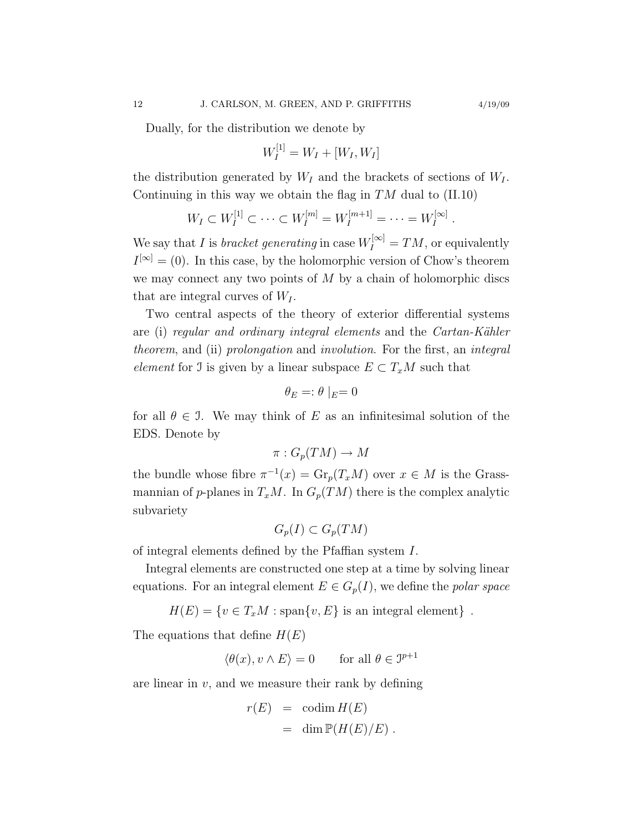Dually, for the distribution we denote by

$$
W_I^{[1]} = W_I + [W_I, W_I]
$$

the distribution generated by  $W_I$  and the brackets of sections of  $W_I$ . Continuing in this way we obtain the flag in  $TM$  dual to  $(II.10)$ 

$$
W_I \subset W_I^{[1]} \subset \cdots \subset W_I^{[m]} = W_I^{[m+1]} = \cdots = W_I^{[\infty]}.
$$

We say that I is *bracket generating* in case  $W_I^{[\infty]} = TM$ , or equivalently  $I^{[\infty]} = (0)$ . In this case, by the holomorphic version of Chow's theorem we may connect any two points of  $M$  by a chain of holomorphic discs that are integral curves of  $W_I$ .

Two central aspects of the theory of exterior differential systems are (i) regular and ordinary integral elements and the  $Cartan-Kähler$ theorem, and (ii) prolongation and involution. For the first, an integral element for J is given by a linear subspace  $E \subset T_xM$  such that

$$
\theta_E =: \theta \mid_E = 0
$$

for all  $\theta \in \mathcal{I}$ . We may think of E as an infinitesimal solution of the EDS. Denote by

$$
\pi: G_p(TM) \to M
$$

the bundle whose fibre  $\pi^{-1}(x) = \text{Gr}_p(T_x M)$  over  $x \in M$  is the Grassmannian of p-planes in  $T_xM$ . In  $G_p(TM)$  there is the complex analytic subvariety

$$
G_p(I) \subset G_p(TM)
$$

of integral elements defined by the Pfaffian system I.

Integral elements are constructed one step at a time by solving linear equations. For an integral element  $E \in G_p(I)$ , we define the *polar space* 

$$
H(E) = \{ v \in T_x M : \text{span}\{v, E\} \text{ is an integral element} \} .
$$

The equations that define  $H(E)$ 

$$
\langle \theta(x), v \wedge E \rangle = 0 \quad \text{for all } \theta \in \mathcal{I}^{p+1}
$$

are linear in  $v$ , and we measure their rank by defining

$$
r(E) = \operatorname{codim} H(E)
$$
  
= 
$$
\dim \mathbb{P}(H(E)/E).
$$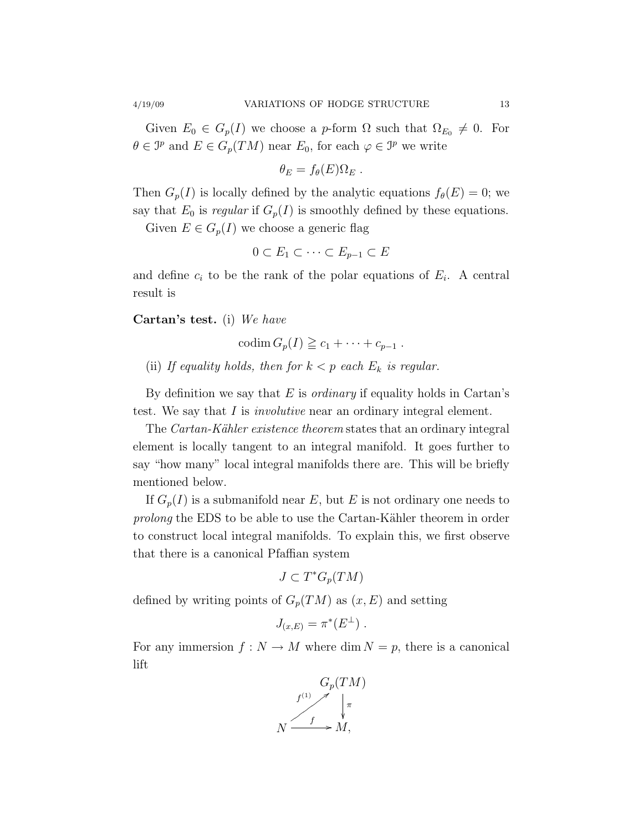Given  $E_0 \in G_p(I)$  we choose a p-form  $\Omega$  such that  $\Omega_{E_0} \neq 0$ . For  $\theta \in \mathcal{I}^p$  and  $E \in G_p(TM)$  near  $E_0$ , for each  $\varphi \in \mathcal{I}^p$  we write

$$
\theta_E = f_{\theta}(E)\Omega_E.
$$

Then  $G_p(I)$  is locally defined by the analytic equations  $f_{\theta}(E) = 0$ ; we say that  $E_0$  is regular if  $G_p(I)$  is smoothly defined by these equations.

Given  $E \in G_p(I)$  we choose a generic flag

$$
0 \subset E_1 \subset \cdots \subset E_{p-1} \subset E
$$

and define  $c_i$  to be the rank of the polar equations of  $E_i$ . A central result is

Cartan's test. (i) We have

$$
\mathrm{codim}\, G_p(I) \geqq c_1 + \cdots + c_{p-1} \; .
$$

(ii) If equality holds, then for  $k < p$  each  $E_k$  is regular.

By definition we say that  $E$  is *ordinary* if equality holds in Cartan's test. We say that I is *involutive* near an ordinary integral element.

The *Cartan-Kähler existence theorem* states that an ordinary integral element is locally tangent to an integral manifold. It goes further to say "how many" local integral manifolds there are. This will be briefly mentioned below.

If  $G_p(I)$  is a submanifold near E, but E is not ordinary one needs to prolong the EDS to be able to use the Cartan-Kähler theorem in order to construct local integral manifolds. To explain this, we first observe that there is a canonical Pfaffian system

$$
J \subset T^*G_p(TM)
$$

defined by writing points of  $G_p(TM)$  as  $(x, E)$  and setting

$$
J_{(x,E)} = \pi^*(E^{\perp}).
$$

For any immersion  $f : N \to M$  where dim  $N = p$ , there is a canonical lift

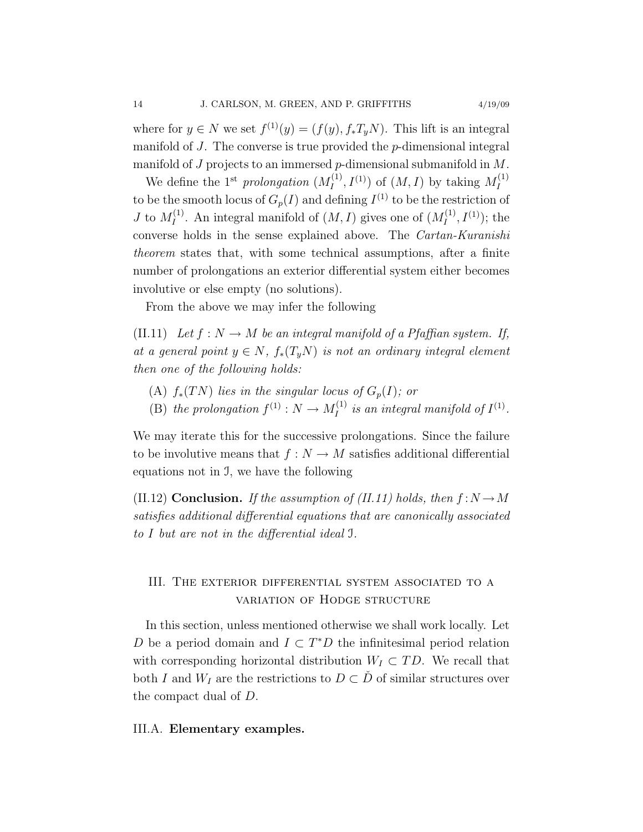We define the 1<sup>st</sup> prolongation  $(M_I^{(1)})$  $I_I^{(1)}, I^{(1)}$  of  $(M, I)$  by taking  $M_I^{(1)}$ I to be the smooth locus of  $G_p(I)$  and defining  $I^{(1)}$  to be the restriction of J to  $M_I^{(1)}$  $I_I^{(1)}$ . An integral manifold of  $(M, I)$  gives one of  $(M_I^{(1)})$  $I^{(1)}, I^{(1)}$ ; the converse holds in the sense explained above. The Cartan-Kuranishi theorem states that, with some technical assumptions, after a finite number of prolongations an exterior differential system either becomes involutive or else empty (no solutions).

From the above we may infer the following

(II.11) Let  $f: N \to M$  be an integral manifold of a Pfaffian system. If, at a general point  $y \in N$ ,  $f_*(T_yN)$  is not an ordinary integral element then one of the following holds:

- (A)  $f_*(TN)$  lies in the singular locus of  $G_p(I)$ ; or
- (B) the prolongation  $f^{(1)}: N \to M_I^{(1)}$  $I_I^{(1)}$  is an integral manifold of  $I^{(1)}$ .

We may iterate this for the successive prolongations. Since the failure to be involutive means that  $f: N \to M$  satisfies additional differential equations not in I, we have the following

(II.12) Conclusion. If the assumption of (II.11) holds, then  $f : N \to M$ satisfies additional differential equations that are canonically associated to I but are not in the differential ideal I.

# III. The exterior differential system associated to a variation of Hodge structure

In this section, unless mentioned otherwise we shall work locally. Let D be a period domain and  $I \subset T^*D$  the infinitesimal period relation with corresponding horizontal distribution  $W_I \subset TD$ . We recall that both I and  $W_I$  are the restrictions to  $D \subset \check{D}$  of similar structures over the compact dual of D.

#### III.A. Elementary examples.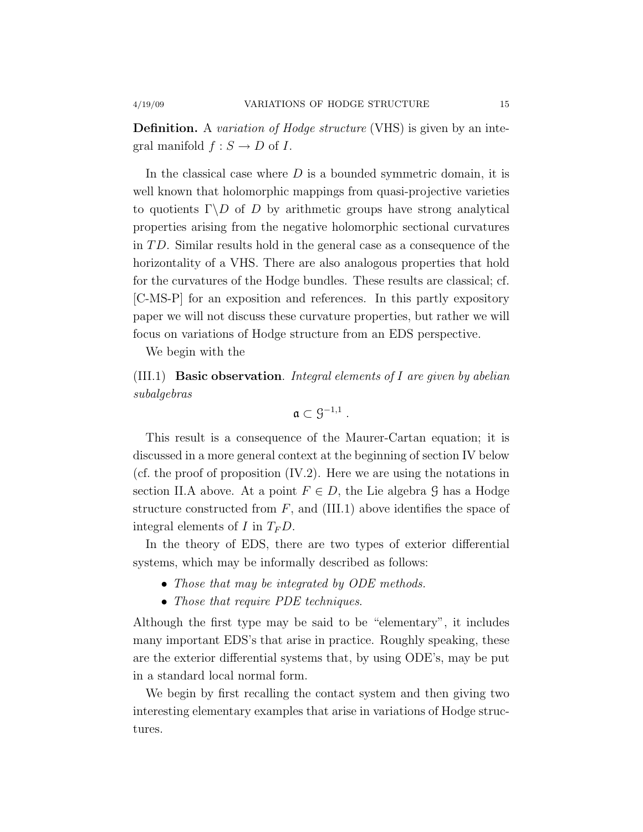**Definition.** A variation of Hodge structure (VHS) is given by an integral manifold  $f : S \to D$  of I.

In the classical case where  $D$  is a bounded symmetric domain, it is well known that holomorphic mappings from quasi-projective varieties to quotients  $\Gamma \backslash D$  of D by arithmetic groups have strong analytical properties arising from the negative holomorphic sectional curvatures in  $TD$ . Similar results hold in the general case as a consequence of the horizontality of a VHS. There are also analogous properties that hold for the curvatures of the Hodge bundles. These results are classical; cf. [C-MS-P] for an exposition and references. In this partly expository paper we will not discuss these curvature properties, but rather we will focus on variations of Hodge structure from an EDS perspective.

We begin with the

(III.1) **Basic observation**. Integral elements of I are given by abelian subalgebras

$$
\mathfrak{a} \subset \mathfrak{G}^{-1,1}
$$

.

This result is a consequence of the Maurer-Cartan equation; it is discussed in a more general context at the beginning of section IV below (cf. the proof of proposition (IV.2). Here we are using the notations in section II.A above. At a point  $F \in D$ , the Lie algebra G has a Hodge structure constructed from  $F$ , and (III.1) above identifies the space of integral elements of I in  $T_F D$ .

In the theory of EDS, there are two types of exterior differential systems, which may be informally described as follows:

- Those that may be integrated by ODE methods.
- Those that require PDE techniques.

Although the first type may be said to be "elementary", it includes many important EDS's that arise in practice. Roughly speaking, these are the exterior differential systems that, by using ODE's, may be put in a standard local normal form.

We begin by first recalling the contact system and then giving two interesting elementary examples that arise in variations of Hodge structures.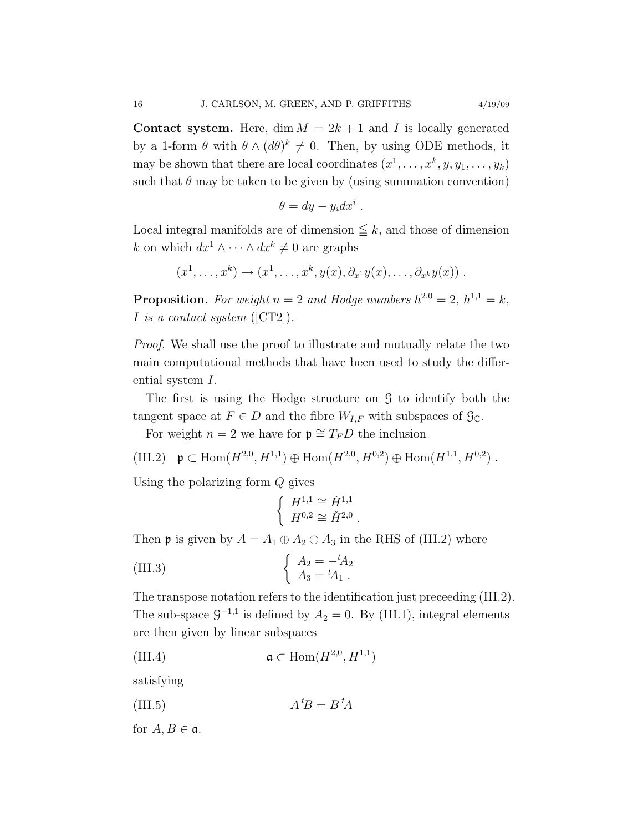**Contact system.** Here, dim  $M = 2k + 1$  and I is locally generated by a 1-form  $\theta$  with  $\theta \wedge (d\theta)^k \neq 0$ . Then, by using ODE methods, it may be shown that there are local coordinates  $(x^1, \ldots, x^k, y, y_1, \ldots, y_k)$ such that  $\theta$  may be taken to be given by (using summation convention)

$$
\theta = dy - y_i dx^i .
$$

Local integral manifolds are of dimension  $\leq k$ , and those of dimension k on which  $dx^1 \wedge \cdots \wedge dx^k \neq 0$  are graphs

$$
(x^1,\ldots,x^k)\to (x^1,\ldots,x^k,y(x),\partial_{x^1}y(x),\ldots,\partial_{x^k}y(x))\ .
$$

**Proposition.** For weight  $n = 2$  and Hodge numbers  $h^{2,0} = 2$ ,  $h^{1,1} = k$ , I is a contact system  $(\lfloor CT2 \rfloor)$ .

Proof. We shall use the proof to illustrate and mutually relate the two main computational methods that have been used to study the differential system I.

The first is using the Hodge structure on G to identify both the tangent space at  $F \in D$  and the fibre  $W_{I,F}$  with subspaces of  $\mathcal{G}_{\mathbb{C}}$ .

For weight  $n = 2$  we have for  $\mathfrak{p} \cong T_F D$  the inclusion

$$
(III.2) \quad \mathfrak{p} \subset \text{Hom}(H^{2,0}, H^{1,1}) \oplus \text{Hom}(H^{2,0}, H^{0,2}) \oplus \text{Hom}(H^{1,1}, H^{0,2}) \ .
$$

Using the polarizing form Q gives

$$
\left\{ \begin{array}{l} H^{1,1}\cong \check{H}^{1,1}\\ H^{0,2}\cong \check{H}^{2,0}\end{array} \right. .
$$

Then **p** is given by  $A = A_1 \oplus A_2 \oplus A_3$  in the RHS of (III.2) where

(III.3) 
$$
\begin{cases} A_2 = -{}^t A_2 \\ A_3 = {}^t A_1 \end{cases}.
$$

The transpose notation refers to the identification just preceeding (III.2). The sub-space  $\mathcal{G}^{-1,1}$  is defined by  $A_2 = 0$ . By (III.1), integral elements are then given by linear subspaces

(III.4)  $\mathfrak{a} \subset \text{Hom}(H^{2,0}, H^{1,1})$ 

satisfying

 $(III.5)$  ${}^t\!B = B\,{}^t\!A$ 

for  $A, B \in \mathfrak{a}$ .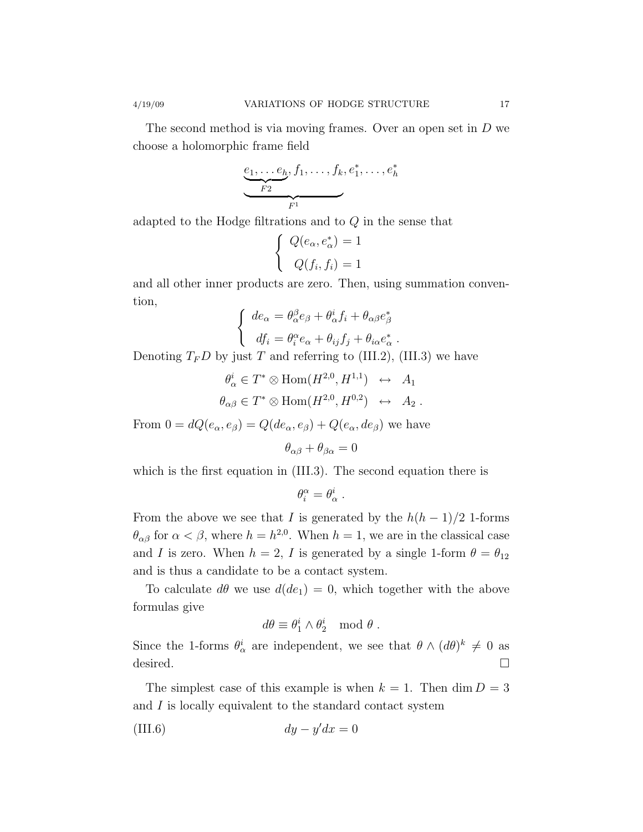The second method is via moving frames. Over an open set in D we choose a holomorphic frame field

$$
\underbrace{e_1, \dots e_h}_{F^2}, f_1, \dots, f_k, e_1^*, \dots, e_h^*
$$

adapted to the Hodge filtrations and to Q in the sense that

$$
\begin{cases} Q(e_{\alpha}, e_{\alpha}^*) = 1\\ Q(f_i, f_i) = 1 \end{cases}
$$

and all other inner products are zero. Then, using summation convention,

$$
\begin{cases} de_{\alpha} = \theta_{\alpha}^{\beta} e_{\beta} + \theta_{\alpha}^{i} f_{i} + \theta_{\alpha\beta} e_{\beta}^{*} \\ df_{i} = \theta_{i}^{\alpha} e_{\alpha} + \theta_{ij} f_{j} + \theta_{i\alpha} e_{\alpha}^{*} \end{cases}.
$$

Denoting  $T_F D$  by just T and referring to (III.2), (III.3) we have

$$
\theta_{\alpha}^{i} \in T^{*} \otimes \text{Hom}(H^{2,0}, H^{1,1}) \leftrightarrow A_{1}
$$
  

$$
\theta_{\alpha\beta} \in T^{*} \otimes \text{Hom}(H^{2,0}, H^{0,2}) \leftrightarrow A_{2}.
$$

From  $0 = dQ(e_{\alpha}, e_{\beta}) = Q(de_{\alpha}, e_{\beta}) + Q(e_{\alpha}, de_{\beta})$  we have

$$
\theta_{\alpha\beta} + \theta_{\beta\alpha} = 0
$$

which is the first equation in (III.3). The second equation there is

$$
\theta_i^\alpha = \theta_\alpha^i \; .
$$

From the above we see that I is generated by the  $h(h-1)/2$  1-forms  $\theta_{\alpha\beta}$  for  $\alpha < \beta$ , where  $h = h^{2,0}$ . When  $h = 1$ , we are in the classical case and I is zero. When  $h = 2$ , I is generated by a single 1-form  $\theta = \theta_{12}$ and is thus a candidate to be a contact system.

To calculate  $d\theta$  we use  $d(de_1) = 0$ , which together with the above formulas give

$$
d\theta \equiv \theta_1^i \wedge \theta_2^i \mod \theta.
$$

Since the 1-forms  $\theta^i_\alpha$  are independent, we see that  $\theta \wedge (d\theta)^k \neq 0$  as desired.  $\Box$ 

The simplest case of this example is when  $k = 1$ . Then dim  $D = 3$ and I is locally equivalent to the standard contact system

(III.6) 
$$
dy - y'dx = 0
$$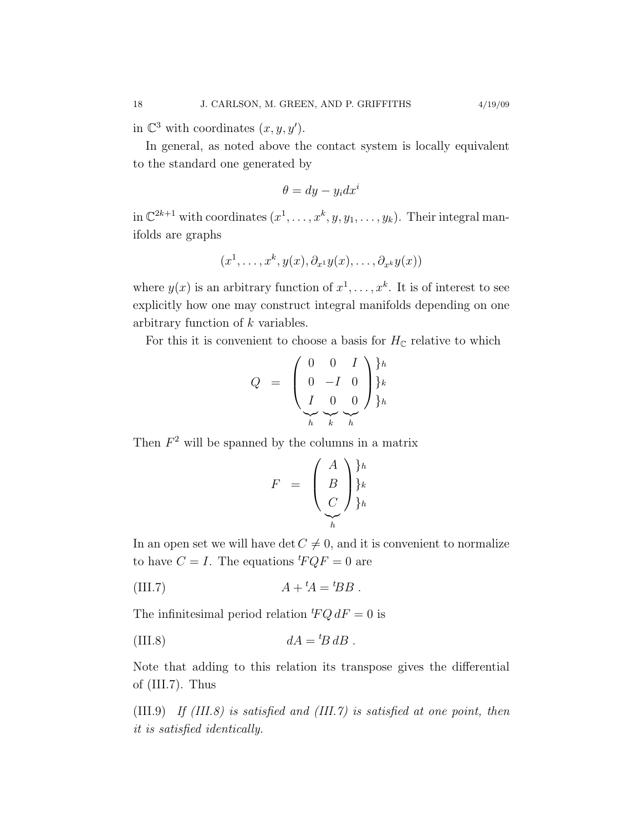in  $\mathbb{C}^3$  with coordinates  $(x, y, y')$ .

In general, as noted above the contact system is locally equivalent to the standard one generated by

$$
\theta = dy - y_i dx^i
$$

in  $\mathbb{C}^{2k+1}$  with coordinates  $(x^1, \ldots, x^k, y, y_1, \ldots, y_k)$ . Their integral manifolds are graphs

$$
(x^1,\ldots,x^k,y(x),\partial_{x^1}y(x),\ldots,\partial_{x^k}y(x))
$$

where  $y(x)$  is an arbitrary function of  $x^1, \ldots, x^k$ . It is of interest to see explicitly how one may construct integral manifolds depending on one arbitrary function of k variables.

For this it is convenient to choose a basis for  $H_{\mathbb{C}}$  relative to which

$$
Q = \begin{pmatrix} 0 & 0 & I \\ 0 & -I & 0 \\ I & 0 & 0 \\ \hline h & k & h \end{pmatrix} \begin{matrix} h \\ h \\ h \end{matrix}
$$

Then  $F<sup>2</sup>$  will be spanned by the columns in a matrix

$$
F = \begin{pmatrix} A \\ B \\ C \end{pmatrix} \begin{cases} h \\ h \\ h \end{cases}
$$

In an open set we will have det  $C \neq 0$ , and it is convenient to normalize to have  $C = I$ . The equations  ${}^{t}FQF = 0$  are

(III.7) 
$$
A + {}^t A = {}^t BB.
$$

The infinitesimal period relation  ${}^{t}FQ dF = 0$  is

(III.8) 
$$
dA = {}^t\!B dB.
$$

Note that adding to this relation its transpose gives the differential of (III.7). Thus

(III.9) If  $(III.8)$  is satisfied and  $(III.7)$  is satisfied at one point, then it is satisfied identically.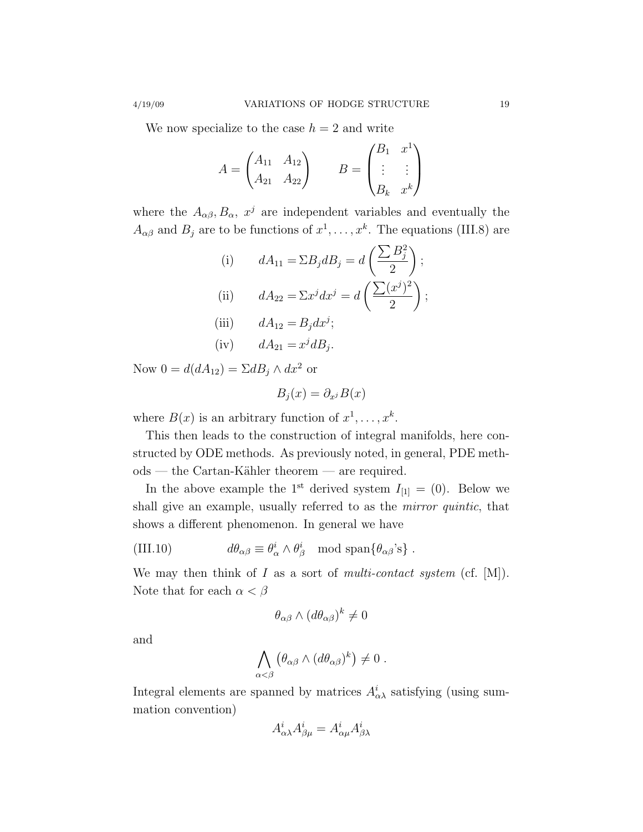We now specialize to the case  $h = 2$  and write

$$
A = \begin{pmatrix} A_{11} & A_{12} \\ A_{21} & A_{22} \end{pmatrix} \qquad B = \begin{pmatrix} B_1 & x^1 \\ \vdots & \vdots \\ B_k & x^k \end{pmatrix}
$$

where the  $A_{\alpha\beta}, B_{\alpha}, x^j$  are independent variables and eventually the  $A_{\alpha\beta}$  and  $B_j$  are to be functions of  $x^1, \ldots, x^k$ . The equations (III.8) are

(i) 
$$
dA_{11} = \Sigma B_j dB_j = d\left(\frac{\Sigma B_j^2}{2}\right);
$$
  
\n(ii) 
$$
dA_{22} = \Sigma x^j dx^j = d\left(\frac{\Sigma (x^j)^2}{2}\right);
$$
  
\n(iii) 
$$
dA_{12} = B_j dx^j;
$$
  
\n(iv) 
$$
dA_{21} = x^j dB_j.
$$

Now  $0 = d(dA_{12}) = \sum dB_i \wedge dx^2$  or

$$
B_j(x) = \partial_{x^j} B(x)
$$

where  $B(x)$  is an arbitrary function of  $x^1, \ldots, x^k$ .

This then leads to the construction of integral manifolds, here constructed by ODE methods. As previously noted, in general, PDE methods — the Cartan-Kähler theorem — are required.

In the above example the 1<sup>st</sup> derived system  $I_{[1]} = (0)$ . Below we shall give an example, usually referred to as the mirror quintic, that shows a different phenomenon. In general we have

(III.10) 
$$
d\theta_{\alpha\beta} \equiv \theta_{\alpha}^i \wedge \theta_{\beta}^i \mod \text{span}\{\theta_{\alpha\beta}^i s\}.
$$

We may then think of  $I$  as a sort of *multi-contact system* (cf. [M]). Note that for each  $\alpha < \beta$ 

$$
\theta_{\alpha\beta} \wedge (d\theta_{\alpha\beta})^k \neq 0
$$

and

$$
\bigwedge_{\alpha<\beta} \left( \theta_{\alpha\beta} \wedge (d\theta_{\alpha\beta})^k \right) \neq 0 \ .
$$

Integral elements are spanned by matrices  $A^i_{\alpha\lambda}$  satisfying (using summation convention)

$$
A^i_{\alpha\lambda}A^i_{\beta\mu} = A^i_{\alpha\mu}A^i_{\beta\lambda}
$$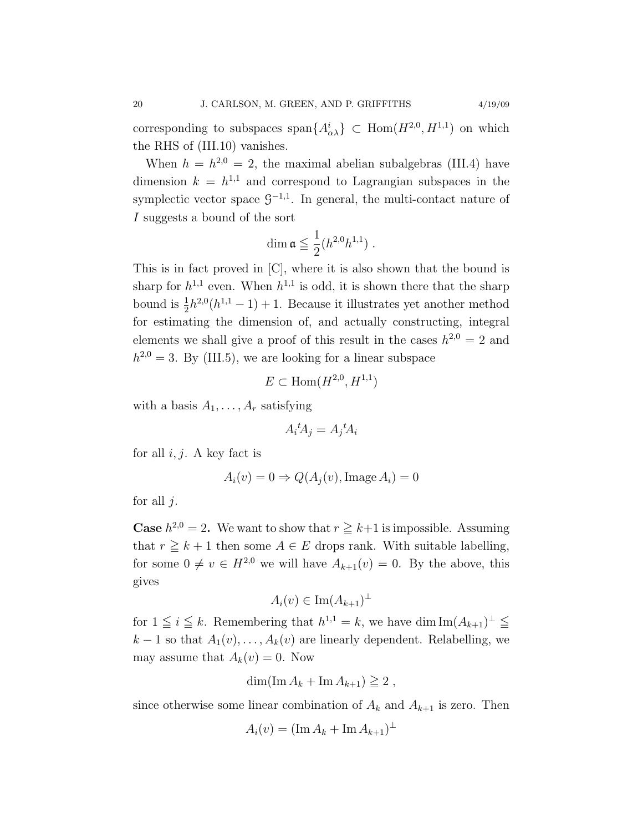corresponding to subspaces  $\text{span}\{A^i_{\alpha\lambda}\}\subset \text{Hom}(H^{2,0}, H^{1,1})$  on which the RHS of (III.10) vanishes.

When  $h = h^{2,0} = 2$ , the maximal abelian subalgebras (III.4) have dimension  $k = h^{1,1}$  and correspond to Lagrangian subspaces in the symplectic vector space  $G^{-1,1}$ . In general, the multi-contact nature of I suggests a bound of the sort

$$
\dim\mathfrak{a}\leqq \frac{1}{2}(h^{2,0}h^{1,1})\;.
$$

This is in fact proved in [C], where it is also shown that the bound is sharp for  $h^{1,1}$  even. When  $h^{1,1}$  is odd, it is shown there that the sharp bound is  $\frac{1}{2}h^{2,0}(h^{1,1}-1)+1$ . Because it illustrates yet another method for estimating the dimension of, and actually constructing, integral elements we shall give a proof of this result in the cases  $h^{2,0} = 2$  and  $h^{2,0} = 3$ . By (III.5), we are looking for a linear subspace

$$
E \subset \text{Hom}(H^{2,0}, H^{1,1})
$$

with a basis  $A_1, \ldots, A_r$  satisfying

$$
A_i{}^t\!A_j = A_j{}^t\!A_i
$$

for all  $i, j$ . A key fact is

$$
A_i(v) = 0 \Rightarrow Q(A_j(v), \text{Image } A_i) = 0
$$

for all  $j$ .

**Case**  $h^{2,0} = 2$ . We want to show that  $r \geq k+1$  is impossible. Assuming that  $r \geq k+1$  then some  $A \in E$  drops rank. With suitable labelling, for some  $0 \neq v \in H^{2,0}$  we will have  $A_{k+1}(v) = 0$ . By the above, this gives

$$
A_i(v) \in \operatorname{Im}(A_{k+1})^\perp
$$

for  $1 \leq i \leq k$ . Remembering that  $h^{1,1} = k$ , we have dim  $\text{Im}(A_{k+1})^{\perp} \leq$  $k-1$  so that  $A_1(v), \ldots, A_k(v)$  are linearly dependent. Relabelling, we may assume that  $A_k(v) = 0$ . Now

$$
\dim(\operatorname{Im} A_k + \operatorname{Im} A_{k+1}) \geq 2 ,
$$

since otherwise some linear combination of  $A_k$  and  $A_{k+1}$  is zero. Then

$$
A_i(v) = (\operatorname{Im} A_k + \operatorname{Im} A_{k+1})^\perp
$$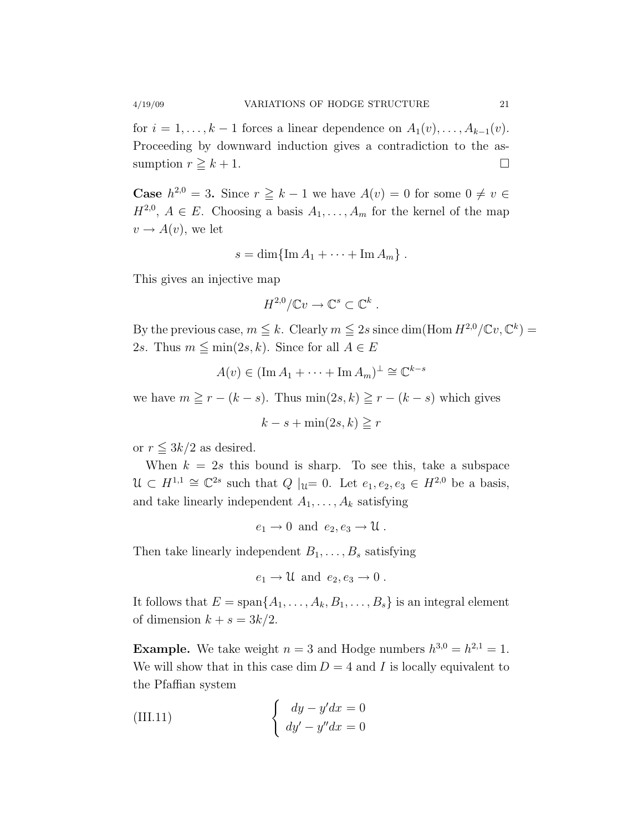for  $i = 1, \ldots, k - 1$  forces a linear dependence on  $A_1(v), \ldots, A_{k-1}(v)$ . Proceeding by downward induction gives a contradiction to the assumption  $r \geq k + 1$ .

**Case**  $h^{2,0} = 3$ . Since  $r \geq k - 1$  we have  $A(v) = 0$  for some  $0 \neq v \in \mathbb{R}$  $H^{2,0}, A \in E$ . Choosing a basis  $A_1, \ldots, A_m$  for the kernel of the map  $v \rightarrow A(v)$ , we let

$$
s = \dim\{\operatorname{Im} A_1 + \cdots + \operatorname{Im} A_m\}.
$$

This gives an injective map

$$
H^{2,0}/\mathbb{C}v \to \mathbb{C}^s \subset \mathbb{C}^k.
$$

By the previous case,  $m \leq k$ . Clearly  $m \leq 2s$  since dim(Hom  $H^{2,0}/\mathbb{C}v, \mathbb{C}^k$ ) = 2s. Thus  $m \leq \min(2s, k)$ . Since for all  $A \in E$ 

$$
A(v) \in (\operatorname{Im} A_1 + \dots + \operatorname{Im} A_m)^{\perp} \cong \mathbb{C}^{k-s}
$$

we have  $m \ge r - (k - s)$ . Thus  $\min(2s, k) \ge r - (k - s)$  which gives

$$
k - s + \min(2s, k) \ge r
$$

or  $r \leq 3k/2$  as desired.

When  $k = 2s$  this bound is sharp. To see this, take a subspace  $\mathcal{U} \subset H^{1,1} \cong \mathbb{C}^{2s}$  such that  $Q \mid_{\mathcal{U}} = 0$ . Let  $e_1, e_2, e_3 \in H^{2,0}$  be a basis, and take linearly independent  $A_1, \ldots, A_k$  satisfying

$$
e_1 \rightarrow 0
$$
 and  $e_2, e_3 \rightarrow \mathcal{U}$ .

Then take linearly independent  $B_1, \ldots, B_s$  satisfying

 $e_1 \rightarrow \mathcal{U}$  and  $e_2, e_3 \rightarrow 0$ .

It follows that  $E = \text{span}\{A_1, \ldots, A_k, B_1, \ldots, B_s\}$  is an integral element of dimension  $k + s = 3k/2$ .

**Example.** We take weight  $n = 3$  and Hodge numbers  $h^{3,0} = h^{2,1} = 1$ . We will show that in this case dim  $D = 4$  and I is locally equivalent to the Pfaffian system

(III.11) 
$$
\begin{cases} dy - y'dx = 0\\ dy' - y''dx = 0 \end{cases}
$$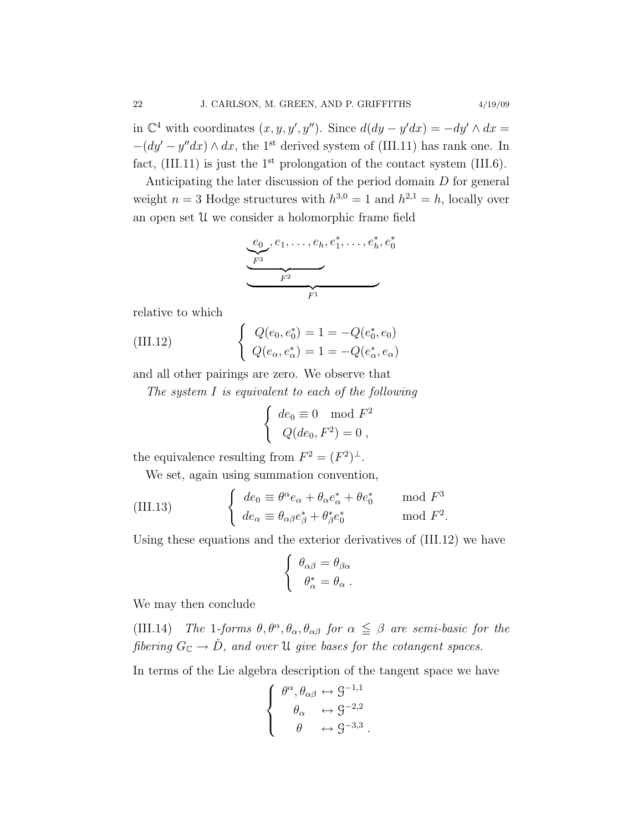in  $\mathbb{C}^4$  with coordinates  $(x, y, y', y'')$ . Since  $d(dy - y'dx) = -dy' \wedge dx =$  $-(dy'-y''dx) \wedge dx$ , the 1<sup>st</sup> derived system of (III.11) has rank one. In fact,  $(III.11)$  is just the 1<sup>st</sup> prolongation of the contact system  $(III.6)$ .

Anticipating the later discussion of the period domain D for general weight  $n=3$  Hodge structures with  $h^{3,0}=1$  and  $h^{2,1}=h$ , locally over an open set U we consider a holomorphic frame field

$$
\underbrace{e_0}_{F^3}, e_1, \ldots, e_h, e_1^*, \ldots, e_h^*, e_0^*
$$
\n
$$
F^2
$$
\n
$$
F^1
$$

relative to which

(III.12) 
$$
\begin{cases} Q(e_0, e_0^*) = 1 = -Q(e_0^*, e_0) \\ Q(e_\alpha, e_\alpha^*) = 1 = -Q(e_\alpha^*, e_\alpha) \end{cases}
$$

and all other pairings are zero. We observe that

The system I is equivalent to each of the following

$$
\begin{cases} de_0 \equiv 0 \mod F^2 \\ Q(de_0, F^2) = 0 , \end{cases}
$$

the equivalence resulting from  $F^2 = (F^2)^{\perp}$ .

We set, again using summation convention,

(III.13) 
$$
\begin{cases} de_0 \equiv \theta^{\alpha} e_{\alpha} + \theta_{\alpha} e_{\alpha}^* + \theta e_0^* \text{ mod } F^3 \\ de_{\alpha} \equiv \theta_{\alpha\beta} e_{\beta}^* + \theta_{\beta}^* e_0^* \text{ mod } F^2. \end{cases}
$$

Using these equations and the exterior derivatives of (III.12) we have

$$
\begin{cases} \theta_{\alpha\beta} = \theta_{\beta\alpha} \\ \theta_{\alpha}^{*} = \theta_{\alpha} \end{cases}
$$

We may then conclude

(III.14) The 1-forms  $\theta, \theta^{\alpha}, \theta_{\alpha}, \theta_{\alpha\beta}$  for  $\alpha \leq \beta$  are semi-basic for the fibering  $G_{\mathbb{C}} \to \check{D}$ , and over U give bases for the cotangent spaces.

In terms of the Lie algebra description of the tangent space we have

$$
\begin{cases} \theta^{\alpha}, \theta_{\alpha\beta} \leftrightarrow \mathcal{G}^{-1,1} \\ \theta_{\alpha} \leftrightarrow \mathcal{G}^{-2,2} \\ \theta \leftrightarrow \mathcal{G}^{-3,3} .\end{cases}
$$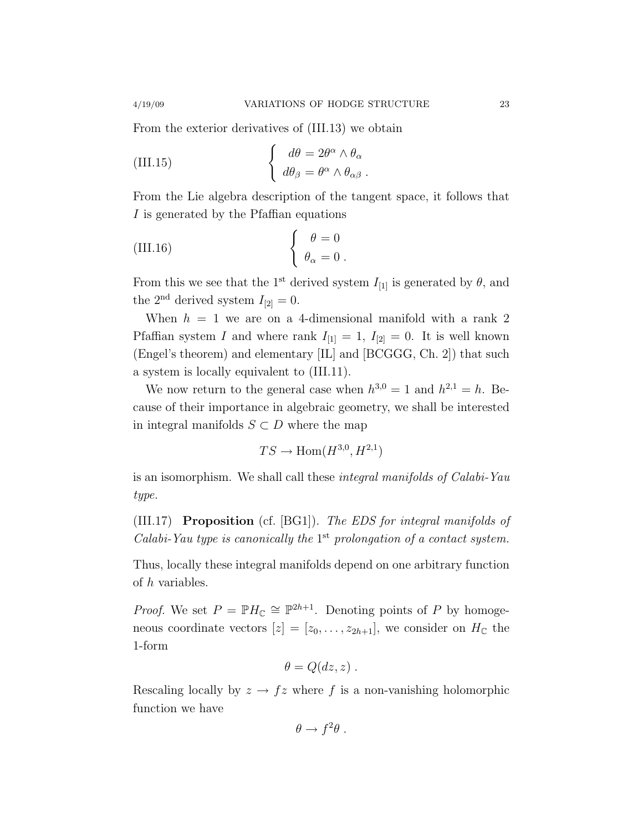From the exterior derivatives of (III.13) we obtain

(III.15) 
$$
\begin{cases} d\theta = 2\theta^{\alpha} \wedge \theta_{\alpha} \\ d\theta_{\beta} = \theta^{\alpha} \wedge \theta_{\alpha\beta} .\end{cases}
$$

From the Lie algebra description of the tangent space, it follows that I is generated by the Pfaffian equations

(III.16) 
$$
\begin{cases} \theta = 0 \\ \theta_{\alpha} = 0 \end{cases}
$$

From this we see that the 1<sup>st</sup> derived system  $I_{[1]}$  is generated by  $\theta$ , and the 2<sup>nd</sup> derived system  $I_{[2]}=0$ .

When  $h = 1$  we are on a 4-dimensional manifold with a rank 2 Pfaffian system I and where rank  $I_{[1]} = 1$ ,  $I_{[2]} = 0$ . It is well known (Engel's theorem) and elementary [IL] and [BCGGG, Ch. 2]) that such a system is locally equivalent to (III.11).

We now return to the general case when  $h^{3,0} = 1$  and  $h^{2,1} = h$ . Because of their importance in algebraic geometry, we shall be interested in integral manifolds  $S \subset D$  where the map

$$
TS \to \text{Hom}(H^{3,0}, H^{2,1})
$$

is an isomorphism. We shall call these integral manifolds of Calabi-Yau type.

(III.17) Proposition (cf. [BG1]). The EDS for integral manifolds of Calabi-Yau type is canonically the  $1<sup>st</sup>$  prolongation of a contact system.

Thus, locally these integral manifolds depend on one arbitrary function of h variables.

*Proof.* We set  $P = \mathbb{P} H_{\mathbb{C}} \cong \mathbb{P}^{2h+1}$ . Denoting points of P by homogeneous coordinate vectors  $[z] = [z_0, \ldots, z_{2h+1}]$ , we consider on  $H_{\mathbb{C}}$  the 1-form

$$
\theta = Q(dz, z) .
$$

Rescaling locally by  $z \to fz$  where f is a non-vanishing holomorphic function we have

$$
\theta \to f^2 \theta .
$$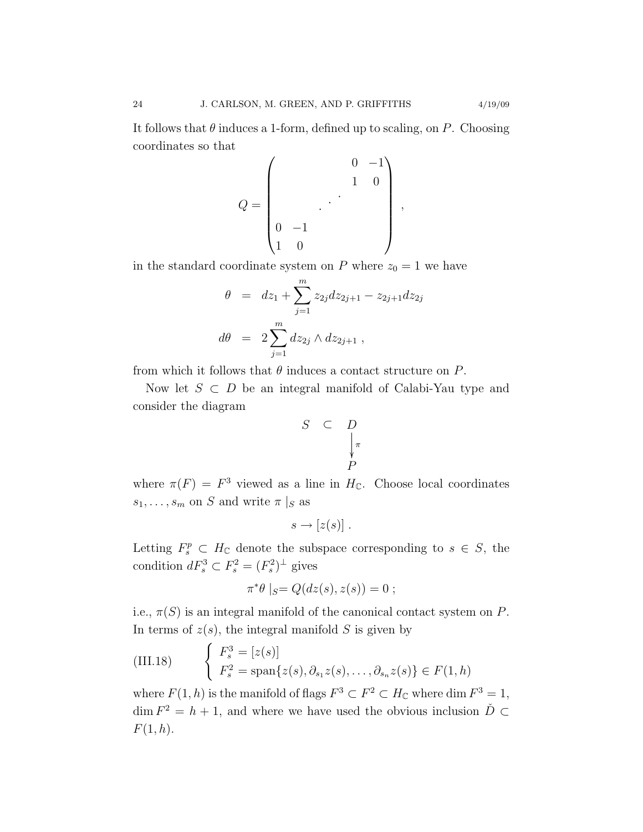It follows that  $\theta$  induces a 1-form, defined up to scaling, on P. Choosing coordinates so that

$$
Q = \begin{pmatrix} 0 & -1 \\ & & 1 & 0 \\ & & \cdot & \\ 0 & -1 & & \\ 1 & 0 & & \end{pmatrix},
$$

in the standard coordinate system on P where  $z_0 = 1$  we have

$$
\theta = dz_1 + \sum_{j=1}^m z_{2j} dz_{2j+1} - z_{2j+1} dz_{2j}
$$
  

$$
d\theta = 2 \sum_{j=1}^m dz_{2j} \wedge dz_{2j+1} ,
$$

from which it follows that  $\theta$  induces a contact structure on P.

Now let  $S \subset D$  be an integral manifold of Calabi-Yau type and consider the diagram

$$
S \quad \subset \quad D \quad \downarrow_{\pi} \quad \downarrow_{P} \quad P
$$

where  $\pi(F) = F^3$  viewed as a line in  $H_{\mathbb{C}}$ . Choose local coordinates  $s_1, \ldots, s_m$  on S and write  $\pi |_{S}$  as

$$
s \to [z(s)] .
$$

Letting  $F_s^p \subset H_{\mathbb{C}}$  denote the subspace corresponding to  $s \in S$ , the condition  $dF_s^3 \subset F_s^2 = (F_s^2)^{\perp}$  gives

$$
\pi^*\theta \mid_S = Q(dz(s), z(s)) = 0 ;
$$

i.e.,  $\pi(S)$  is an integral manifold of the canonical contact system on P. In terms of  $z(s)$ , the integral manifold S is given by

(III.18) 
$$
\begin{cases} F_s^3 = [z(s)] \\ F_s^2 = \text{span}\{z(s), \partial_{s_1} z(s), \dots, \partial_{s_n} z(s)\} \in F(1, h) \end{cases}
$$

where  $F(1, h)$  is the manifold of flags  $F^3 \subset F^2 \subset H_{\mathbb{C}}$  where dim  $F^3 = 1$ ,  $\dim F^2 = h + 1$ , and where we have used the obvious inclusion  $\check{D} \subset$  $F(1, h)$ .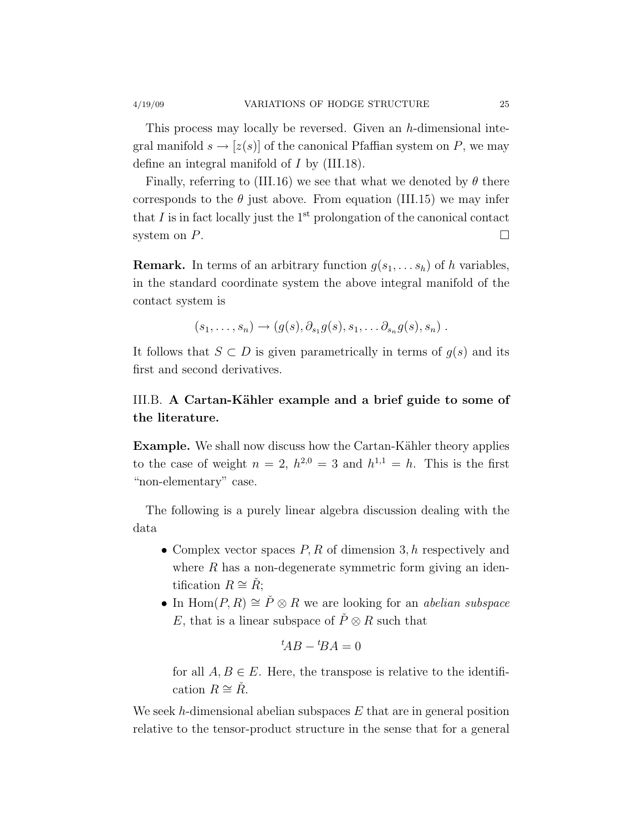This process may locally be reversed. Given an h-dimensional integral manifold  $s \to [z(s)]$  of the canonical Pfaffian system on P, we may define an integral manifold of I by (III.18).

Finally, referring to (III.16) we see that what we denoted by  $\theta$  there corresponds to the  $\theta$  just above. From equation (III.15) we may infer that  $I$  is in fact locally just the  $1<sup>st</sup>$  prolongation of the canonical contact system on  $P$ .

**Remark.** In terms of an arbitrary function  $g(s_1, \ldots s_h)$  of h variables, in the standard coordinate system the above integral manifold of the contact system is

$$
(s_1,\ldots,s_n)\rightarrow (g(s),\partial_{s_1}g(s),s_1,\ldots\partial_{s_n}g(s),s_n).
$$

It follows that  $S \subset D$  is given parametrically in terms of  $g(s)$  and its first and second derivatives.

## III.B. A Cartan-Kähler example and a brief guide to some of the literature.

Example. We shall now discuss how the Cartan-Kähler theory applies to the case of weight  $n = 2$ ,  $h^{2,0} = 3$  and  $h^{1,1} = h$ . This is the first "non-elementary" case.

The following is a purely linear algebra discussion dealing with the data

- Complex vector spaces  $P, R$  of dimension 3, h respectively and where  $R$  has a non-degenerate symmetric form giving an identification  $R \cong R$ ;
- In Hom $(P, R) \cong \check{P} \otimes R$  we are looking for an *abelian subspace* E, that is a linear subspace of  $\check{P} \otimes R$  such that

$$
{}^{t}\!AB - {}^{t}\!BA = 0
$$

for all  $A, B \in E$ . Here, the transpose is relative to the identification  $R \cong \check{R}$ .

We seek h-dimensional abelian subspaces  $E$  that are in general position relative to the tensor-product structure in the sense that for a general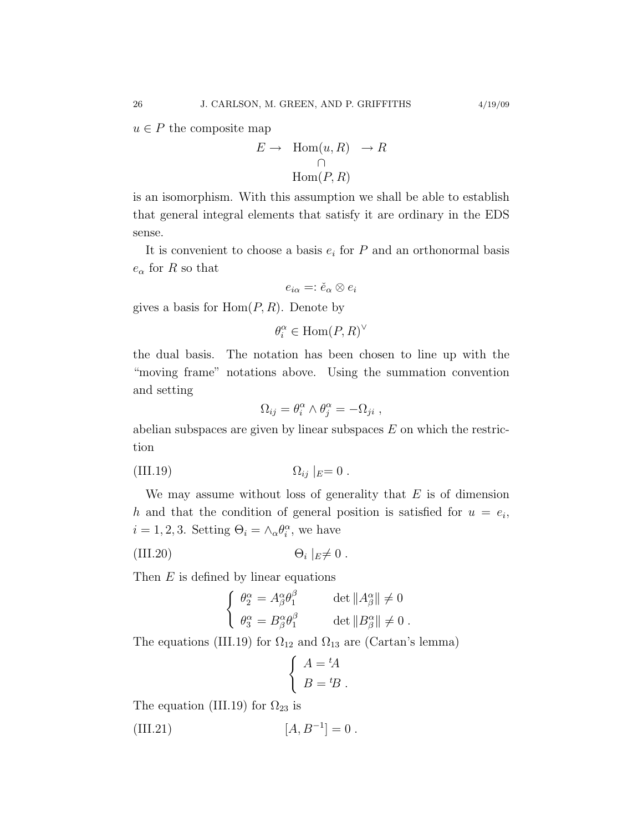$u \in P$  the composite map

$$
E \to \text{Hom}(u, R) \to R
$$
  
\n
$$
\cap
$$
  
\n
$$
\text{Hom}(P, R)
$$

is an isomorphism. With this assumption we shall be able to establish that general integral elements that satisfy it are ordinary in the EDS sense.

It is convenient to choose a basis  $e_i$  for P and an orthonormal basis  $e_{\alpha}$  for R so that

$$
e_{i\alpha}=:\check e_\alpha\otimes e_i
$$

gives a basis for  $Hom(P, R)$ . Denote by

$$
\theta_i^\alpha \in \mathrm{Hom}(P,R)^\vee
$$

the dual basis. The notation has been chosen to line up with the "moving frame" notations above. Using the summation convention and setting

$$
\Omega_{ij} = \theta_i^{\alpha} \wedge \theta_j^{\alpha} = -\Omega_{ji} ,
$$

abelian subspaces are given by linear subspaces  $E$  on which the restriction

(III.19) 
$$
\Omega_{ij} |_{E} = 0.
$$

We may assume without loss of generality that  $E$  is of dimension h and that the condition of general position is satisfied for  $u = e_i$ ,  $i = 1, 2, 3$ . Setting  $\Theta_i = \wedge_\alpha \theta_i^\alpha$ , we have

(III.20) 
$$
\Theta_i |_{E} \neq 0.
$$

Then  $E$  is defined by linear equations

$$
\begin{cases} \n\theta_2^{\alpha} = A_{\beta}^{\alpha} \theta_1^{\beta} & \text{det } ||A_{\beta}^{\alpha}|| \neq 0 \\ \n\theta_3^{\alpha} = B_{\beta}^{\alpha} \theta_1^{\beta} & \text{det } ||B_{\beta}^{\alpha}|| \neq 0 \n\end{cases}.
$$

The equations (III.19) for  $\Omega_{12}$  and  $\Omega_{13}$  are (Cartan's lemma)

$$
\begin{cases}\nA = {}^t A \\
B = {}^t B\n\end{cases}.
$$

The equation (III.19) for  $\Omega_{23}$  is

(III.21) 
$$
[A, B^{-1}] = 0.
$$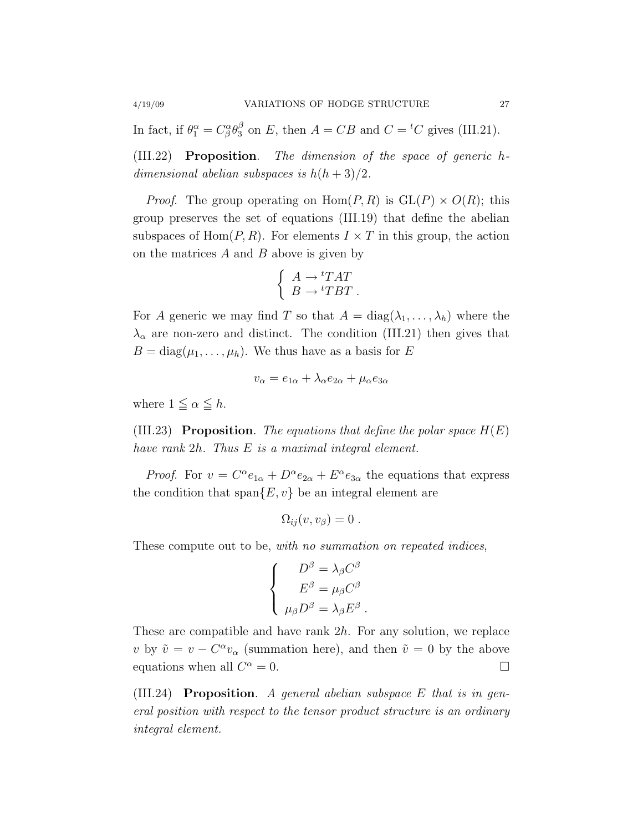In fact, if  $\theta_1^{\alpha} = C_{\beta}^{\alpha} \theta_3^{\beta}$  $S_3^{\beta}$  on E, then  $A = CB$  and  $C = {}^tC$  gives (III.21).

(III.22) Proposition. The dimension of the space of generic hdimensional abelian subspaces is  $h(h+3)/2$ .

*Proof.* The group operating on  $\text{Hom}(P, R)$  is  $GL(P) \times O(R)$ ; this group preserves the set of equations (III.19) that define the abelian subspaces of Hom $(P, R)$ . For elements  $I \times T$  in this group, the action on the matrices  $A$  and  $B$  above is given by

$$
\begin{cases}\nA \to {}^{t}TAT \\
B \to {}^{t}TBT\n\end{cases}.
$$

For A generic we may find T so that  $A = diag(\lambda_1, ..., \lambda_h)$  where the  $\lambda_{\alpha}$  are non-zero and distinct. The condition (III.21) then gives that  $B = diag(\mu_1, \ldots, \mu_h)$ . We thus have as a basis for E

$$
v_{\alpha}=e_{1\alpha}+\lambda_{\alpha}e_{2\alpha}+\mu_{\alpha}e_{3\alpha}
$$

where  $1 \leq \alpha \leq h$ .

(III.23) Proposition. The equations that define the polar space  $H(E)$ have rank  $2h$ . Thus E is a maximal integral element.

*Proof.* For  $v = C^{\alpha}e_{1\alpha} + D^{\alpha}e_{2\alpha} + E^{\alpha}e_{3\alpha}$  the equations that express the condition that span ${E, v}$  be an integral element are

$$
\Omega_{ij}(v,v_\beta)=0.
$$

These compute out to be, with no summation on repeated indices,

$$
\left\{ \begin{array}{c} D^{\beta}=\lambda_{\beta}C^{\beta} \\ E^{\beta}=\mu_{\beta}C^{\beta} \\ \mu_{\beta}D^{\beta}=\lambda_{\beta}E^{\beta} \end{array} \right.
$$

These are compatible and have rank 2h. For any solution, we replace v by  $\tilde{v} = v - C^{\alpha} v_{\alpha}$  (summation here), and then  $\tilde{v} = 0$  by the above equations when all  $C^{\alpha} = 0$ .  $\alpha = 0.$ 

.

(III.24) **Proposition.** A general abelian subspace  $E$  that is in general position with respect to the tensor product structure is an ordinary integral element.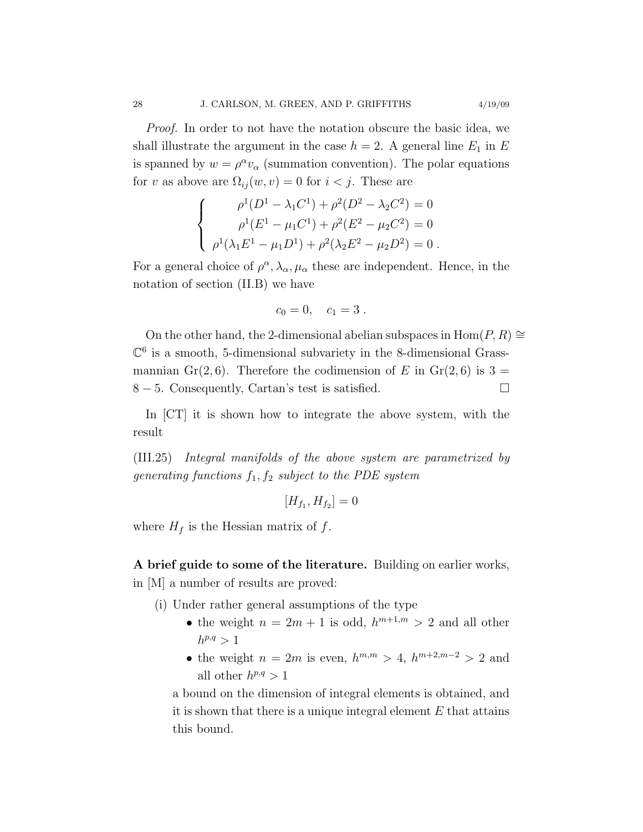Proof. In order to not have the notation obscure the basic idea, we shall illustrate the argument in the case  $h = 2$ . A general line  $E_1$  in E is spanned by  $w = \rho^{\alpha} v_{\alpha}$  (summation convention). The polar equations for v as above are  $\Omega_{ij}(w, v) = 0$  for  $i < j$ . These are

$$
\begin{cases}\n\rho^1(D^1 - \lambda_1 C^1) + \rho^2(D^2 - \lambda_2 C^2) = 0 \\
\rho^1(E^1 - \mu_1 C^1) + \rho^2(E^2 - \mu_2 C^2) = 0 \\
\rho^1(\lambda_1 E^1 - \mu_1 D^1) + \rho^2(\lambda_2 E^2 - \mu_2 D^2) = 0.\n\end{cases}
$$

For a general choice of  $\rho^{\alpha}, \lambda_{\alpha}, \mu_{\alpha}$  these are independent. Hence, in the notation of section (II.B) we have

$$
c_0 = 0, \quad c_1 = 3 \; .
$$

On the other hand, the 2-dimensional abelian subspaces in  $\text{Hom}(P, R) \cong$  $\mathbb{C}^6$  is a smooth, 5-dimensional subvariety in the 8-dimensional Grassmannian Gr(2,6). Therefore the codimension of E in Gr(2,6) is  $3 =$ 8 − 5. Consequently, Cartan's test is satisfied.

In [CT] it is shown how to integrate the above system, with the result

(III.25) Integral manifolds of the above system are parametrized by generating functions  $f_1, f_2$  subject to the PDE system

$$
[H_{f_1}, H_{f_2}] = 0
$$

where  $H_f$  is the Hessian matrix of f.

A brief guide to some of the literature. Building on earlier works, in [M] a number of results are proved:

(i) Under rather general assumptions of the type

- the weight  $n = 2m + 1$  is odd,  $h^{m+1,m} > 2$  and all other  $h^{p,q} > 1$
- the weight  $n = 2m$  is even,  $h^{m,m} > 4$ ,  $h^{m+2,m-2} > 2$  and all other  $h^{p,q} > 1$

a bound on the dimension of integral elements is obtained, and it is shown that there is a unique integral element  $E$  that attains this bound.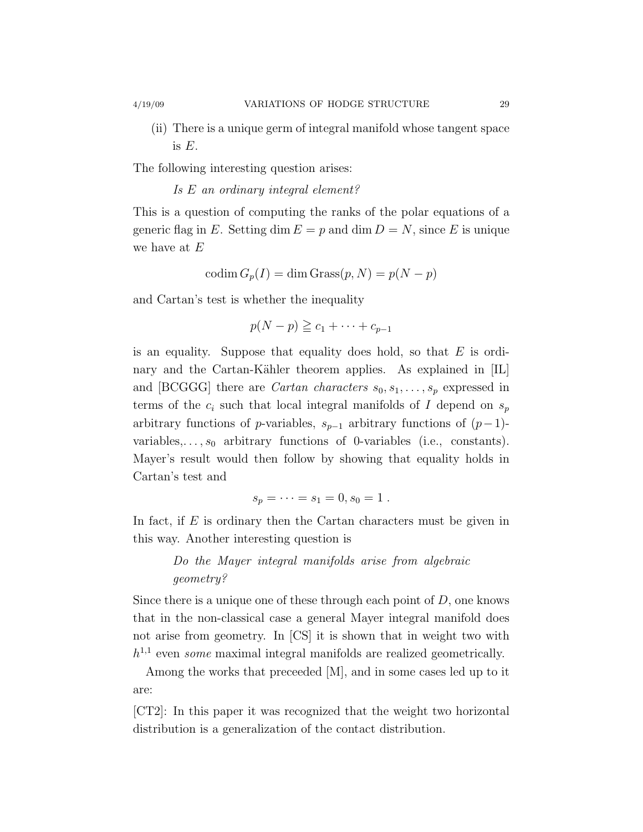The following interesting question arises:

Is E an ordinary integral element?

This is a question of computing the ranks of the polar equations of a generic flag in E. Setting dim  $E = p$  and dim  $D = N$ , since E is unique we have at  $E$ 

$$
\operatorname{codim} G_p(I) = \dim \operatorname{Grass}(p, N) = p(N - p)
$$

and Cartan's test is whether the inequality

$$
p(N-p) \geqq c_1 + \cdots + c_{p-1}
$$

is an equality. Suppose that equality does hold, so that  $E$  is ordinary and the Cartan-Kähler theorem applies. As explained in [IL] and [BCGGG] there are *Cartan characters*  $s_0, s_1, \ldots, s_p$  expressed in terms of the  $c_i$  such that local integral manifolds of I depend on  $s_p$ arbitrary functions of p-variables,  $s_{p-1}$  arbitrary functions of  $(p-1)$ variables,...,  $s_0$  arbitrary functions of 0-variables (i.e., constants). Mayer's result would then follow by showing that equality holds in Cartan's test and

$$
s_p = \cdots = s_1 = 0, s_0 = 1.
$$

In fact, if  $E$  is ordinary then the Cartan characters must be given in this way. Another interesting question is

## Do the Mayer integral manifolds arise from algebraic geometry?

Since there is a unique one of these through each point of  $D$ , one knows that in the non-classical case a general Mayer integral manifold does not arise from geometry. In [CS] it is shown that in weight two with  $h^{1,1}$  even some maximal integral manifolds are realized geometrically.

Among the works that preceeded [M], and in some cases led up to it are:

[CT2]: In this paper it was recognized that the weight two horizontal distribution is a generalization of the contact distribution.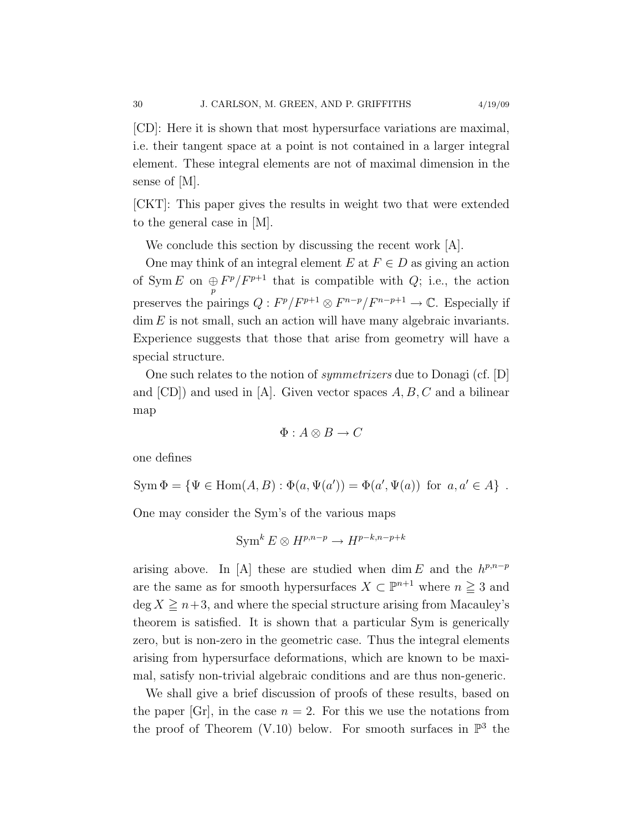[CD]: Here it is shown that most hypersurface variations are maximal, i.e. their tangent space at a point is not contained in a larger integral element. These integral elements are not of maximal dimension in the sense of [M].

[CKT]: This paper gives the results in weight two that were extended to the general case in [M].

We conclude this section by discussing the recent work [A].

One may think of an integral element  $E$  at  $F \in D$  as giving an action of Sym E on  $\bigoplus_{p} F^p/F^{p+1}$  that is compatible with  $Q$ ; i.e., the action preserves the pairings  $Q: F^p/F^{p+1} \otimes F^{n-p}/F^{n-p+1} \to \mathbb{C}$ . Especially if  $\dim E$  is not small, such an action will have many algebraic invariants. Experience suggests that those that arise from geometry will have a special structure.

One such relates to the notion of symmetrizers due to Donagi (cf. [D] and  $[CD]$  and used in  $[A]$ . Given vector spaces  $A, B, C$  and a bilinear map

$$
\Phi: A \otimes B \to C
$$

one defines

 $\text{Sym }\Phi = \{ \Psi \in \text{Hom}(A, B) : \Phi(a, \Psi(a')) = \Phi(a', \Psi(a)) \text{ for } a, a' \in A \}$ .

One may consider the Sym's of the various maps

$$
\text{Sym}^k E \otimes H^{p,n-p} \to H^{p-k,n-p+k}
$$

arising above. In [A] these are studied when dim E and the  $h^{p,n-p}$ are the same as for smooth hypersurfaces  $X \subset \mathbb{P}^{n+1}$  where  $n \geq 3$  and  $\deg X \geq n+3$ , and where the special structure arising from Macauley's theorem is satisfied. It is shown that a particular Sym is generically zero, but is non-zero in the geometric case. Thus the integral elements arising from hypersurface deformations, which are known to be maximal, satisfy non-trivial algebraic conditions and are thus non-generic.

We shall give a brief discussion of proofs of these results, based on the paper [Gr], in the case  $n = 2$ . For this we use the notations from the proof of Theorem (V.10) below. For smooth surfaces in  $\mathbb{P}^3$  the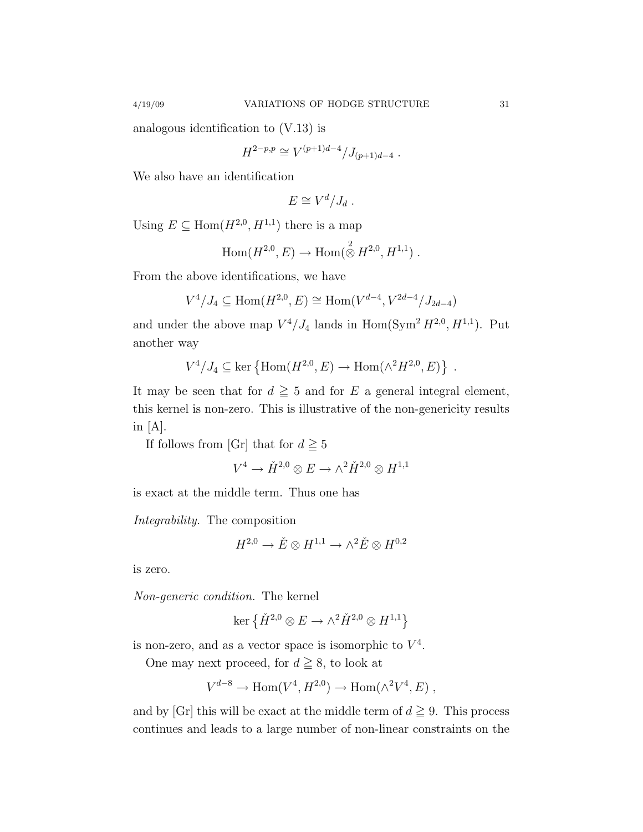analogous identification to (V.13) is

$$
H^{2-p,p}\cong V^{(p+1)d-4}/J_{(p+1)d-4}
$$

We also have an identification

$$
E \cong V^d/J_d .
$$

Using  $E \subseteq \text{Hom}(H^{2,0}, H^{1,1})$  there is a map

Hom
$$
(H^{2,0}, E) \to \text{Hom}(\overset{2}{\otimes} H^{2,0}, H^{1,1})
$$
.

From the above identifications, we have

$$
V^4/J_4 \subseteq \text{Hom}(H^{2,0}, E) \cong \text{Hom}(V^{d-4}, V^{2d-4}/J_{2d-4})
$$

and under the above map  $V^4/J_4$  lands in Hom(Sym<sup>2</sup>  $H^{2,0}, H^{1,1}$ ). Put another way

$$
V^4/J_4 \subseteq \ker \left\{ \text{Hom}(H^{2,0}, E) \to \text{Hom}(\wedge^2 H^{2,0}, E) \right\} .
$$

It may be seen that for  $d \geq 5$  and for E a general integral element, this kernel is non-zero. This is illustrative of the non-genericity results in  $[A]$ .

If follows from [Gr] that for  $d \geq 5$ 

$$
V^4 \to \check{H}^{2,0}\otimes E \to \wedge^2\check{H}^{2,0}\otimes H^{1,1}
$$

is exact at the middle term. Thus one has

Integrability. The composition

$$
H^{2,0}\to \check{E}\otimes H^{1,1}\to \wedge^2 \check{E}\otimes H^{0,2}
$$

is zero.

Non-generic condition. The kernel

$$
\ker\left\{\check{H}^{2,0}\otimes E\to\wedge^2\check{H}^{2,0}\otimes H^{1,1}\right\}
$$

is non-zero, and as a vector space is isomorphic to  $V^4$ .

One may next proceed, for  $d \geq 8$ , to look at

$$
V^{d-8} \to \text{Hom}(V^4, H^{2,0}) \to \text{Hom}(\wedge^2 V^4, E) ,
$$

and by [Gr] this will be exact at the middle term of  $d \geq 9$ . This process continues and leads to a large number of non-linear constraints on the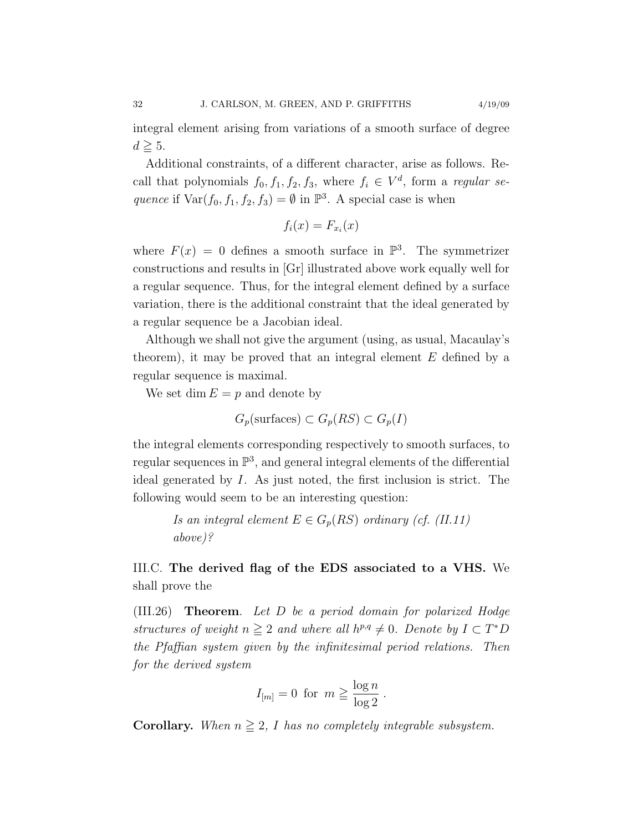integral element arising from variations of a smooth surface of degree  $d \geq 5$ .

Additional constraints, of a different character, arise as follows. Recall that polynomials  $f_0, f_1, f_2, f_3$ , where  $f_i \in V^d$ , form a *regular se*quence if  $\text{Var}(f_0, f_1, f_2, f_3) = \emptyset$  in  $\mathbb{P}^3$ . A special case is when

$$
f_i(x) = F_{x_i}(x)
$$

where  $F(x) = 0$  defines a smooth surface in  $\mathbb{P}^3$ . The symmetrizer constructions and results in [Gr] illustrated above work equally well for a regular sequence. Thus, for the integral element defined by a surface variation, there is the additional constraint that the ideal generated by a regular sequence be a Jacobian ideal.

Although we shall not give the argument (using, as usual, Macaulay's theorem), it may be proved that an integral element  $E$  defined by a regular sequence is maximal.

We set dim  $E = p$  and denote by

$$
G_p
$$
(surfaces)  $\subset G_p(RS) \subset G_p(I)$ 

the integral elements corresponding respectively to smooth surfaces, to regular sequences in  $\mathbb{P}^3$ , and general integral elements of the differential ideal generated by I. As just noted, the first inclusion is strict. The following would seem to be an interesting question:

> Is an integral element  $E \in G_p(RS)$  ordinary (cf. (II.11) above)?

III.C. The derived flag of the EDS associated to a VHS. We shall prove the

(III.26) Theorem. Let D be a period domain for polarized Hodge structures of weight  $n \geq 2$  and where all  $h^{p,q} \neq 0$ . Denote by  $I \subset T^*D$ the Pfaffian system given by the infinitesimal period relations. Then for the derived system

$$
I_{[m]} = 0 \text{ for } m \geq \frac{\log n}{\log 2} .
$$

**Corollary.** When  $n \geq 2$ , *I* has no completely integrable subsystem.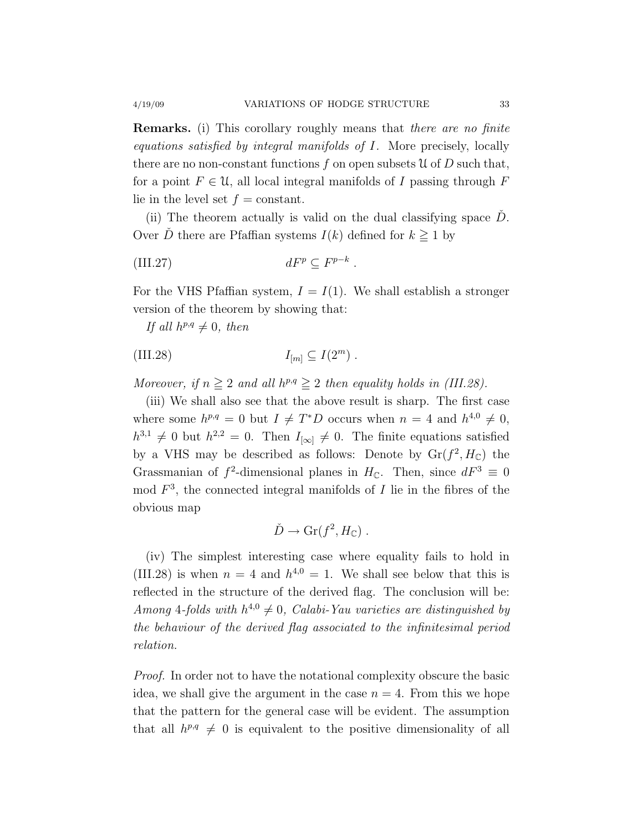**Remarks.** (i) This corollary roughly means that *there are no finite* equations satisfied by integral manifolds of I. More precisely, locally there are no non-constant functions f on open subsets  $\mathcal U$  of D such that, for a point  $F \in \mathcal{U}$ , all local integral manifolds of I passing through F lie in the level set  $f = constant$ .

(ii) The theorem actually is valid on the dual classifying space  $\dot{D}$ . Over  $\check{D}$  there are Pfaffian systems  $I(k)$  defined for  $k \geq 1$  by

.

(III.27) 
$$
dF^p \subseteq F^{p-k}
$$

For the VHS Pfaffian system,  $I = I(1)$ . We shall establish a stronger version of the theorem by showing that:

If all  $h^{p,q} \neq 0$ , then

(III.28) 
$$
I_{[m]} \subseteq I(2^m) .
$$

Moreover, if  $n \geq 2$  and all  $h^{p,q} \geq 2$  then equality holds in (III.28).

(iii) We shall also see that the above result is sharp. The first case where some  $h^{p,q} = 0$  but  $I \neq T^*D$  occurs when  $n = 4$  and  $h^{4,0} \neq 0$ ,  $h^{3,1} \neq 0$  but  $h^{2,2} = 0$ . Then  $I_{[\infty]} \neq 0$ . The finite equations satisfied by a VHS may be described as follows: Denote by  $\text{Gr}(f^2, H_{\mathbb{C}})$  the Grassmanian of  $f^2$ -dimensional planes in  $H_{\mathbb{C}}$ . Then, since  $dF^3 \equiv 0$ mod  $F<sup>3</sup>$ , the connected integral manifolds of I lie in the fibres of the obvious map

$$
\check{D} \to \mathrm{Gr}(f^2, H_{\mathbb{C}}) .
$$

(iv) The simplest interesting case where equality fails to hold in (III.28) is when  $n = 4$  and  $h^{4,0} = 1$ . We shall see below that this is reflected in the structure of the derived flag. The conclusion will be: Among 4-folds with  $h^{4,0} \neq 0$ , Calabi-Yau varieties are distinguished by the behaviour of the derived flag associated to the infinitesimal period relation.

Proof. In order not to have the notational complexity obscure the basic idea, we shall give the argument in the case  $n = 4$ . From this we hope that the pattern for the general case will be evident. The assumption that all  $h^{p,q} \neq 0$  is equivalent to the positive dimensionality of all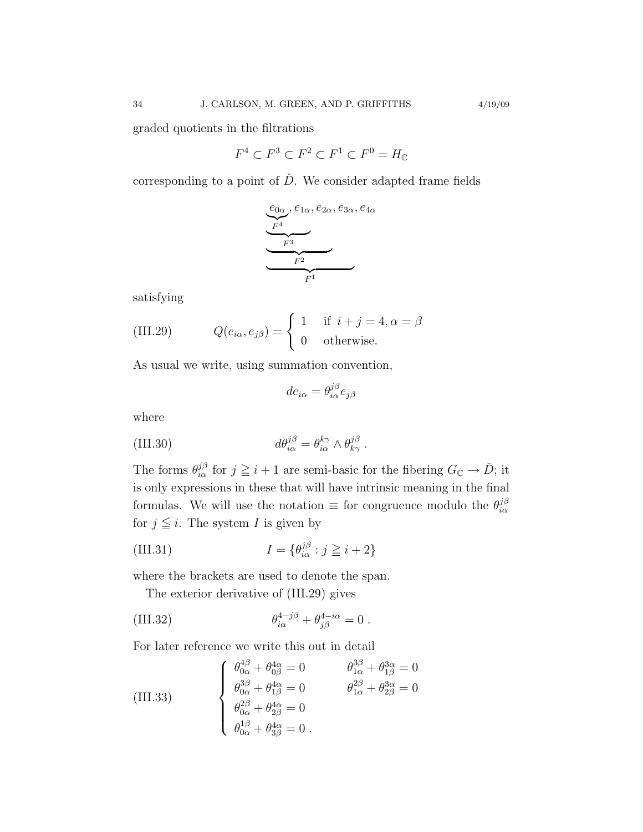graded quotients in the filtrations

$$
F^4 \subset F^3 \subset F^2 \subset F^1 \subset F^0 = H_{\mathbb{C}}
$$

corresponding to a point of  $\tilde{D}$ . We consider adapted frame fields



satisfying

(III.29) 
$$
Q(e_{i\alpha}, e_{j\beta}) = \begin{cases} 1 & \text{if } i+j = 4, \alpha = \beta \\ 0 & \text{otherwise.} \end{cases}
$$

As usual we write, using summation convention,

$$
de_{i\alpha} = \theta_{i\alpha}^{j\beta} e_{j\beta}
$$

where

(III.30) 
$$
d\theta_{i\alpha}^{j\beta} = \theta_{i\alpha}^{k\gamma} \wedge \theta_{k\gamma}^{j\beta}.
$$

The forms  $\theta_{i\alpha}^{j\beta}$  for  $j \geq i+1$  are semi-basic for the fibering  $G_{\mathbb{C}} \to \check{D}$ ; it is only expressions in these that will have intrinsic meaning in the final formulas. We will use the notation  $\equiv$  for congruence modulo the  $\theta_{i\alpha}^{j\beta}$ iα for  $j \leq i$ . The system I is given by

(III.31) 
$$
I = \{ \theta_{i\alpha}^{j\beta} : j \geq i + 2 \}
$$

where the brackets are used to denote the span.

The exterior derivative of (III.29) gives

(III.32) 
$$
\theta_{i\alpha}^{4-j\beta} + \theta_{j\beta}^{4-i\alpha} = 0.
$$

For later reference we write this out in detail

(III.33) 
$$
\begin{cases} \n\theta_{0\alpha}^{4\beta} + \theta_{0\beta}^{4\alpha} = 0 & \theta_{1\alpha}^{3\beta} + \theta_{1\beta}^{3\alpha} = 0 \\
\theta_{0\alpha}^{3\beta} + \theta_{1\beta}^{4\alpha} = 0 & \theta_{1\alpha}^{2\beta} + \theta_{2\beta}^{3\alpha} = 0 \\
\theta_{0\alpha}^{2\beta} + \theta_{2\beta}^{4\alpha} = 0 & \theta_{1\alpha}^{4\beta} + \theta_{2\beta}^{3\alpha} = 0 \\
\theta_{0\alpha}^{1\beta} + \theta_{3\beta}^{4\alpha} = 0 .\n\end{cases}
$$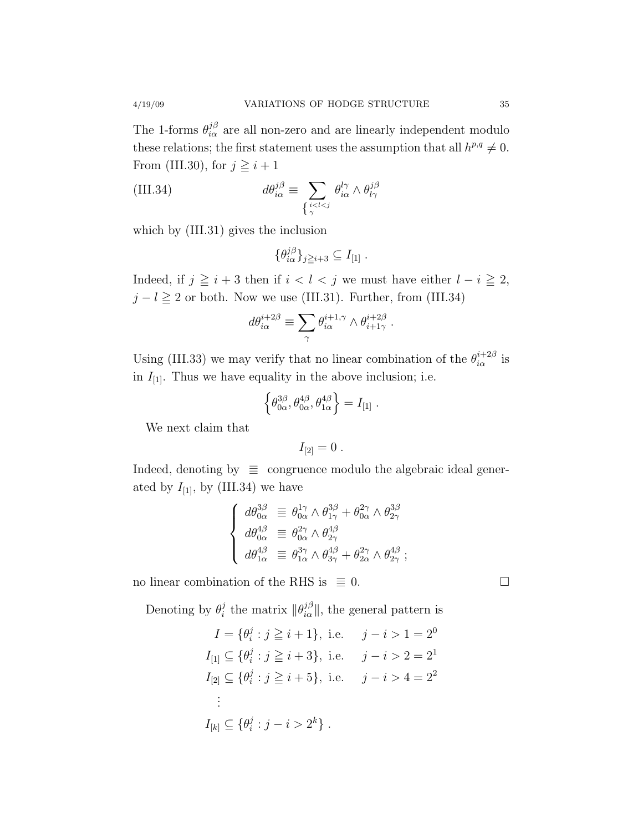The 1-forms  $\theta_{i\alpha}^{j\beta}$  are all non-zero and are linearly independent modulo these relations; the first statement uses the assumption that all  $h^{p,q} \neq 0$ . From (III.30), for  $j \geq i + 1$ 

(III.34) 
$$
d\theta_{i\alpha}^{j\beta} \equiv \sum_{\left\{i < l < j\right\}} \theta_{i\alpha}^{l\gamma} \wedge \theta_{l\gamma}^{j\beta}
$$

which by (III.31) gives the inclusion

$$
\{\theta_{i\alpha}^{j\beta}\}_{j\geqq i+3}\subseteq I_{[1]}.
$$

Indeed, if  $j \geq i + 3$  then if  $i < l < j$  we must have either  $l - i \geq 2$ ,  $j - l \geq 2$  or both. Now we use (III.31). Further, from (III.34)

$$
d\theta_{i\alpha}^{i+2\beta} \equiv \sum_{\gamma} \theta_{i\alpha}^{i+1,\gamma} \wedge \theta_{i+1\gamma}^{i+2\beta}.
$$

Using (III.33) we may verify that no linear combination of the  $\theta_{i\alpha}^{i+2\beta}$  is in  $I_{[1]}$ . Thus we have equality in the above inclusion; i.e.

$$
\left\{\theta_{0\alpha}^{3\beta},\theta_{0\alpha}^{4\beta},\theta_{1\alpha}^{4\beta}\right\}=I_{[1]}.
$$

We next claim that

$$
I_{[2]}=0.
$$

Indeed, denoting by  $\equiv$  congruence modulo the algebraic ideal generated by  $I_{[1]}$ , by (III.34) we have

$$
\left\{\begin{array}{ll} d\theta_{0\alpha}^{3\beta} \equiv \theta_{0\alpha}^{1\gamma} \wedge \theta_{1\gamma}^{3\beta} + \theta_{0\alpha}^{2\gamma} \wedge \theta_{2\gamma}^{3\beta} \\ d\theta_{0\alpha}^{4\beta} \equiv \theta_{0\alpha}^{2\gamma} \wedge \theta_{2\gamma}^{4\beta} \\ d\theta_{1\alpha}^{4\beta} \equiv \theta_{1\alpha}^{3\gamma} \wedge \theta_{3\gamma}^{4\beta} + \theta_{2\alpha}^{2\gamma} \wedge \theta_{2\gamma}^{4\beta} ; \end{array}\right.
$$

no linear combination of the RHS is  $\equiv 0$ .

Denoting by  $\theta_i^j$ <sup>j</sup> the matrix  $\|\theta_{i\alpha}^{j\beta}\|$ , the general pattern is

$$
I = \{\theta_i^j : j \ge i + 1\}, \text{ i.e. } j - i > 1 = 2^0
$$
  
\n
$$
I_{[1]} \subseteq \{\theta_i^j : j \ge i + 3\}, \text{ i.e. } j - i > 2 = 2^1
$$
  
\n
$$
I_{[2]} \subseteq \{\theta_i^j : j \ge i + 5\}, \text{ i.e. } j - i > 4 = 2^2
$$
  
\n:  
\n
$$
I_{[k]} \subseteq \{\theta_i^j : j - i > 2^k\}.
$$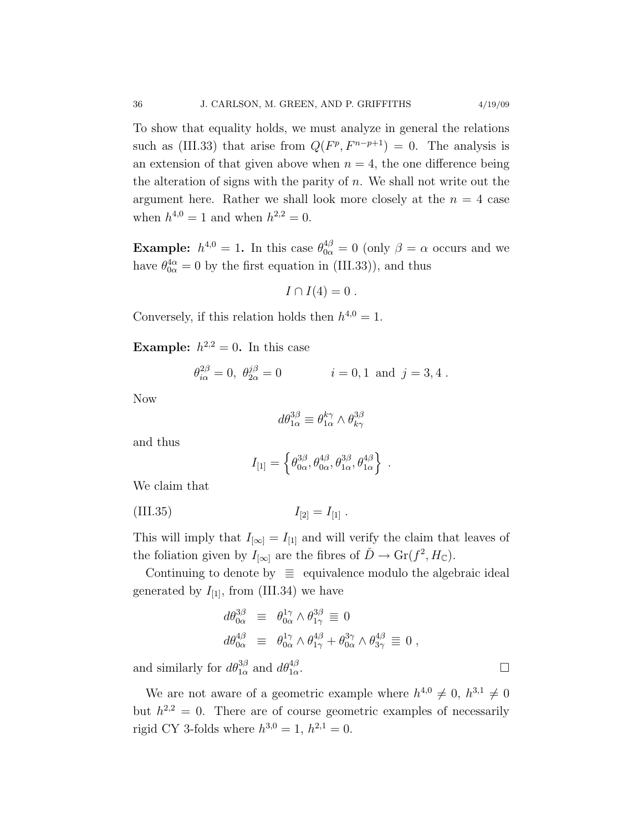To show that equality holds, we must analyze in general the relations such as (III.33) that arise from  $Q(F^p, F^{n-p+1}) = 0$ . The analysis is an extension of that given above when  $n = 4$ , the one difference being the alteration of signs with the parity of  $n$ . We shall not write out the argument here. Rather we shall look more closely at the  $n = 4$  case when  $h^{4,0} = 1$  and when  $h^{2,2} = 0$ .

**Example:**  $h^{4,0} = 1$ . In this case  $\theta_{0\alpha}^{4\beta} = 0$  (only  $\beta = \alpha$  occurs and we have  $\theta_{0\alpha}^{4\alpha} = 0$  by the first equation in (III.33)), and thus

$$
I \cap I(4) = 0.
$$

Conversely, if this relation holds then  $h^{4,0} = 1$ .

### **Example:**  $h^{2,2} = 0$ . In this case

$$
\theta_{i\alpha}^{2\beta} = 0
$$
,  $\theta_{2\alpha}^{j\beta} = 0$    
  $i = 0, 1$  and  $j = 3, 4$ .

Now

$$
d\theta_{1\alpha}^{3\beta} \equiv \theta_{1\alpha}^{k\gamma} \wedge \theta_{k\gamma}^{3\beta}
$$

and thus

$$
I_{[1]} = \left\{ \theta_{0\alpha}^{3\beta}, \theta_{0\alpha}^{4\beta}, \theta_{1\alpha}^{3\beta}, \theta_{1\alpha}^{4\beta} \right\} .
$$

We claim that

(III.35) 
$$
I_{[2]} = I_{[1]}.
$$

This will imply that  $I_{[\infty]} = I_{[1]}$  and will verify the claim that leaves of the foliation given by  $I_{\infty}$  are the fibres of  $\check{D} \to \text{Gr}(f^2, H_{\mathbb{C}})$ .

Continuing to denote by  $\equiv$  equivalence modulo the algebraic ideal generated by  $I_{[1]}$ , from (III.34) we have

$$
d\theta_{0\alpha}^{3\beta} \equiv \theta_{0\alpha}^{1\gamma} \wedge \theta_{1\gamma}^{3\beta} \equiv 0
$$
  

$$
d\theta_{0\alpha}^{4\beta} \equiv \theta_{0\alpha}^{1\gamma} \wedge \theta_{1\gamma}^{4\beta} + \theta_{0\alpha}^{3\gamma} \wedge \theta_{3\gamma}^{4\beta} \equiv 0,
$$

and similarly for  $d\theta_{1\alpha}^{3\beta}$  and  $d\theta_{1\alpha}^{4\beta}$ 

We are not aware of a geometric example where  $h^{4,0} \neq 0$ ,  $h^{3,1} \neq 0$ but  $h^{2,2} = 0$ . There are of course geometric examples of necessarily rigid CY 3-folds where  $h^{3,0} = 1, h^{2,1} = 0.$ 

$$
\Box
$$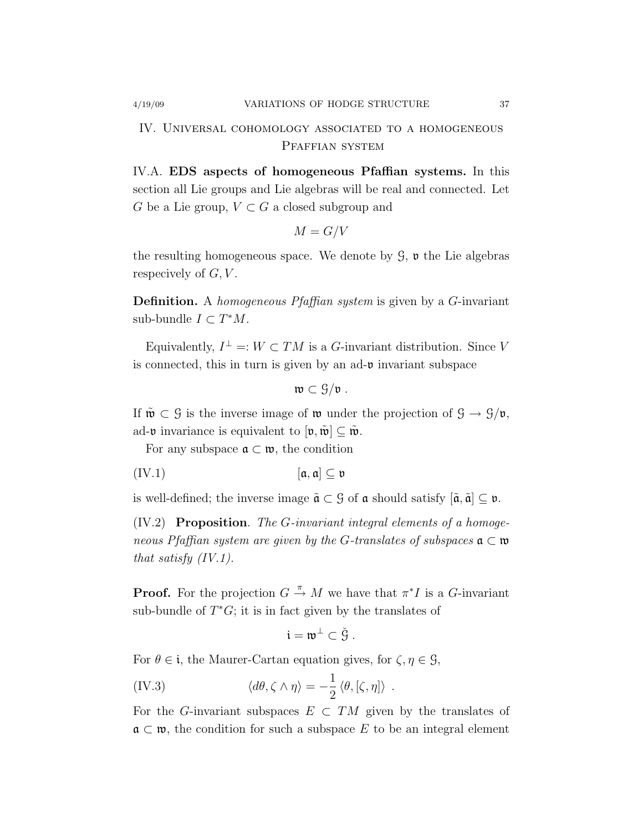IV.A. EDS aspects of homogeneous Pfaffian systems. In this section all Lie groups and Lie algebras will be real and connected. Let G be a Lie group,  $V \subset G$  a closed subgroup and

$$
M = G/V
$$

the resulting homogeneous space. We denote by  $\mathcal{G}$ ,  $\mathfrak{v}$  the Lie algebras respecively of  $G, V$ .

Definition. A homogeneous Pfaffian system is given by a G-invariant sub-bundle  $I \subset T^*M$ .

Equivalently,  $I^{\perp} =: W \subset TM$  is a G-invariant distribution. Since V is connected, this in turn is given by an ad-v invariant subspace

$$
\mathfrak{w}\subset \mathfrak{G}/\mathfrak{v} \ .
$$

If  $\tilde{\mathfrak{w}} \subset \mathcal{G}$  is the inverse image of  $\mathfrak{w}$  under the projection of  $\mathcal{G} \to \mathcal{G}/\mathfrak{v}$ , ad-v invariance is equivalent to  $[\mathfrak{v}, \tilde{\mathfrak{w}}] \subseteq \tilde{\mathfrak{w}}$ .

For any subspace  $\mathfrak{a} \subset \mathfrak{w}$ , the condition

$$
(\mathrm{IV}.1) \qquad [\mathfrak{a}, \mathfrak{a}] \subseteq \mathfrak{v}
$$

is well-defined; the inverse image  $\tilde{\mathfrak{a}} \subset \mathfrak{G}$  of  $\mathfrak{a}$  should satisfy  $[\tilde{\mathfrak{a}}, \tilde{\mathfrak{a}}] \subseteq \mathfrak{v}$ .

 $(IV.2)$  **Proposition**. The *G*-invariant integral elements of a homogeneous Pfaffian system are given by the G-translates of subspaces  $a \subset w$ that satisfy  $(IV.1)$ .

**Proof.** For the projection  $G \stackrel{\pi}{\rightarrow} M$  we have that  $\pi^*I$  is a G-invariant sub-bundle of  $T^*G$ ; it is in fact given by the translates of

$$
\mathfrak{i}=\mathfrak{w}^\perp\subset\check{\mathfrak{G}}\ .
$$

For  $\theta \in \mathfrak{i}$ , the Maurer-Cartan equation gives, for  $\zeta, \eta \in \mathcal{G}$ ,

(IV.3) 
$$
\langle d\theta, \zeta \wedge \eta \rangle = -\frac{1}{2} \langle \theta, [\zeta, \eta] \rangle.
$$

For the G-invariant subspaces  $E \subset TM$  given by the translates of  $\mathfrak{a} \subset \mathfrak{w}$ , the condition for such a subspace E to be an integral element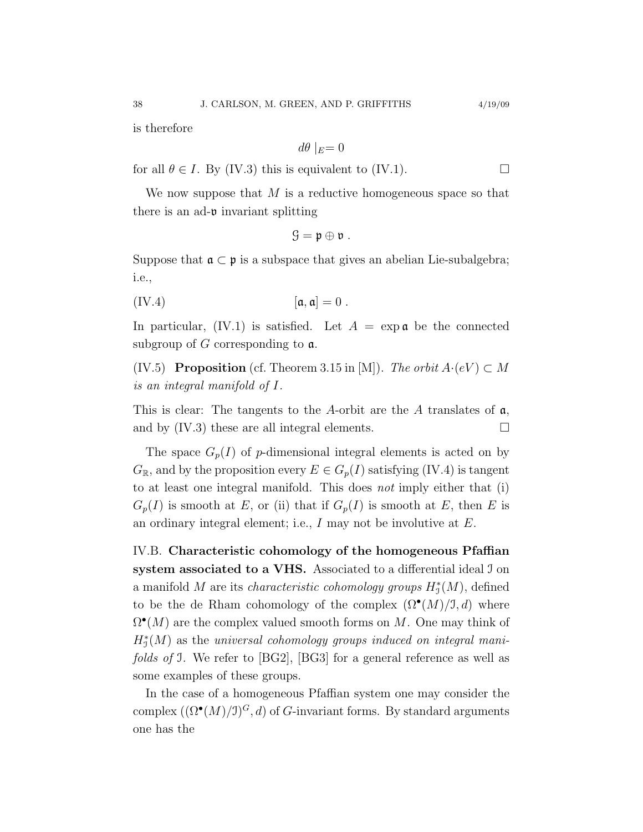is therefore

$$
d\theta\mid_E=0
$$

for all  $\theta \in I$ . By (IV.3) this is equivalent to (IV.1).

We now suppose that  $M$  is a reductive homogeneous space so that there is an ad-v invariant splitting

$$
\mathcal{G}=\mathfrak{p}\oplus\mathfrak{v} .
$$

Suppose that  $\mathfrak{a} \subset \mathfrak{p}$  is a subspace that gives an abelian Lie-subalgebra; i.e.,

$$
(IV.4) \t\t [a,a] = 0.
$$

In particular, (IV.1) is satisfied. Let  $A = \exp \mathfrak{a}$  be the connected subgroup of  $G$  corresponding to  $\mathfrak{a}$ .

(IV.5) Proposition (cf. Theorem 3.15 in [M]). The orbit  $A \cdot (eV) \subset M$ is an integral manifold of I.

This is clear: The tangents to the A-orbit are the A translates of  $a$ , and by  $(IV.3)$  these are all integral elements.

The space  $G_p(I)$  of p-dimensional integral elements is acted on by  $G_{\mathbb{R}}$ , and by the proposition every  $E \in G_p(I)$  satisfying (IV.4) is tangent to at least one integral manifold. This does not imply either that (i)  $G_p(I)$  is smooth at E, or (ii) that if  $G_p(I)$  is smooth at E, then E is an ordinary integral element; i.e., I may not be involutive at E.

IV.B. Characteristic cohomology of the homogeneous Pfaffian system associated to a VHS. Associated to a differential ideal  $\mathfrak I$  on a manifold M are its *characteristic cohomology groups*  $H_1^*(M)$ , defined to be the de Rham cohomology of the complex  $(\Omega^{\bullet}(M)/\mathcal{I}, d)$  where  $\Omega^{\bullet}(M)$  are the complex valued smooth forms on M. One may think of  $H_{\mathfrak{I}}^{*}(M)$  as the universal cohomology groups induced on integral manifolds of J. We refer to [BG2], [BG3] for a general reference as well as some examples of these groups.

In the case of a homogeneous Pfaffian system one may consider the complex  $((\Omega^{\bullet}(M)/\mathcal{I})^G, d)$  of G-invariant forms. By standard arguments one has the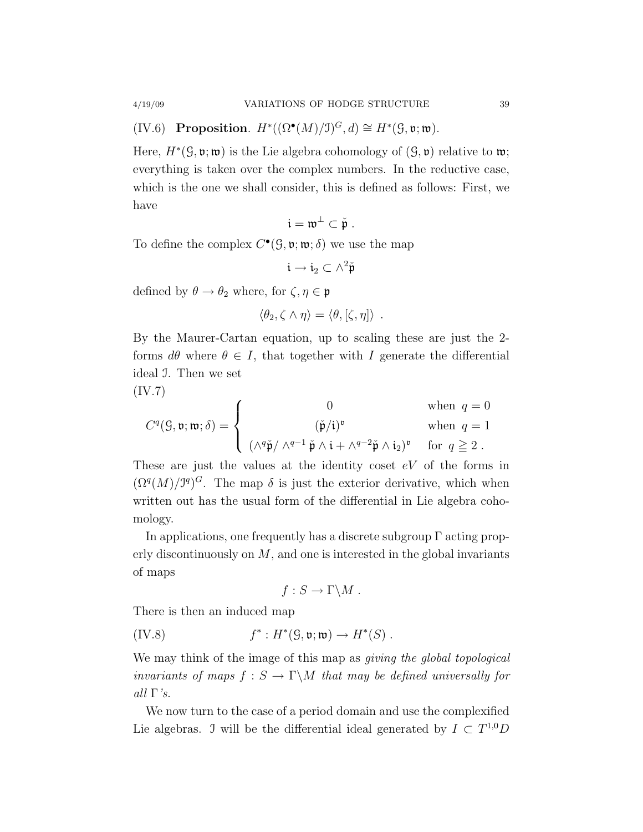(IV.6) Proposition.  $H^*((\Omega^{\bullet}(M)/\mathcal{I})^G, d) \cong H^*(\mathcal{G}, \mathfrak{v}; \mathfrak{w}).$ 

Here,  $H^*(\mathcal{G}, \mathfrak{v}; \mathfrak{w})$  is the Lie algebra cohomology of  $(\mathcal{G}, \mathfrak{v})$  relative to  $\mathfrak{w};$ everything is taken over the complex numbers. In the reductive case, which is the one we shall consider, this is defined as follows: First, we have

$$
\mathfrak{i}=\mathfrak{w}^{\perp}\subset\check{\mathfrak{p}}\ .
$$

To define the complex  $C^{\bullet}(\mathcal{G}, \mathfrak{v}; \mathfrak{w}; \delta)$  we use the map

$$
\mathfrak{i} \to \mathfrak{i}_2 \subset \wedge^2 \check{\mathfrak{p}}
$$

defined by  $\theta \to \theta_2$  where, for  $\zeta, \eta \in \mathfrak{p}$ 

$$
\langle \theta_2, \zeta \wedge \eta \rangle = \langle \theta, [\zeta, \eta] \rangle .
$$

By the Maurer-Cartan equation, up to scaling these are just the 2 forms  $d\theta$  where  $\theta \in I$ , that together with I generate the differential ideal I. Then we set

(IV.7)

$$
C^{q}(\mathcal{G}, \mathfrak{v}; \mathfrak{w}; \delta) = \begin{cases} 0 & \text{when } q = 0 \\ (\check{\mathfrak{p}}/i)^{\mathfrak{v}} & \text{when } q = 1 \\ (\wedge^{q} \check{\mathfrak{p}}/\wedge^{q-1} \check{\mathfrak{p}} \wedge i + \wedge^{q-2} \check{\mathfrak{p}} \wedge i_{2})^{\mathfrak{v}} & \text{for } q \geq 2 \end{cases}.
$$

These are just the values at the identity coset  $eV$  of the forms in  $(\Omega^q(M)/\mathcal{I}^q)^G$ . The map  $\delta$  is just the exterior derivative, which when written out has the usual form of the differential in Lie algebra cohomology.

In applications, one frequently has a discrete subgroup  $\Gamma$  acting properly discontinuously on  $M$ , and one is interested in the global invariants of maps

$$
f: S \to \Gamma \backslash M .
$$

There is then an induced map

$$
(IV.8) \t f^* : H^*(\mathcal{G}, \mathfrak{v}; \mathfrak{w}) \to H^*(S) .
$$

We may think of the image of this map as *giving the global topological* invariants of maps  $f : S \to \Gamma \backslash M$  that may be defined universally for all Γ's.

We now turn to the case of a period domain and use the complexified Lie algebras. J will be the differential ideal generated by  $I \subset T^{1,0}D$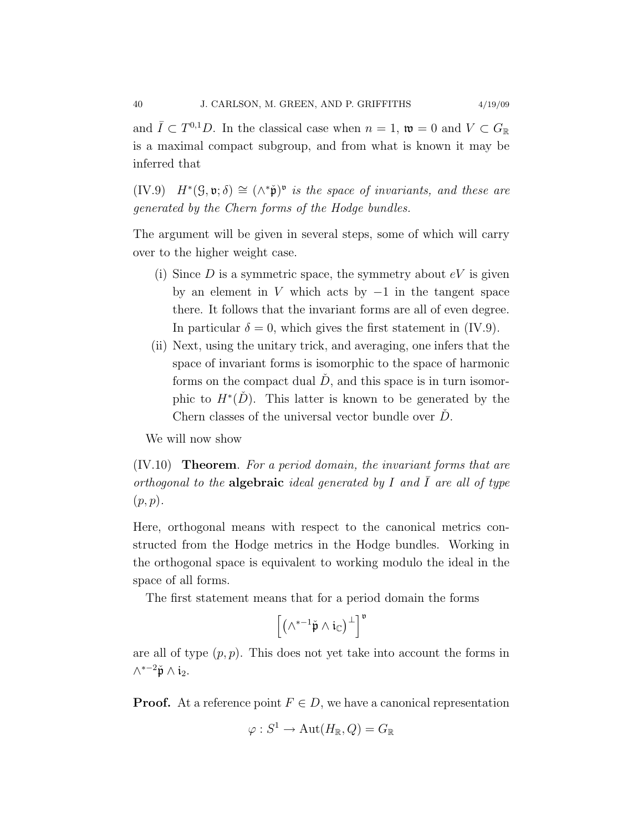and  $\overline{I} \subset T^{0,1}D$ . In the classical case when  $n = 1$ ,  $\mathfrak{w} = 0$  and  $V \subset G_{\mathbb{R}}$ is a maximal compact subgroup, and from what is known it may be inferred that

(IV.9)  $H^*(\mathcal{G}, \mathfrak{v}; \delta) \cong (\wedge^*\check{\mathfrak{p}})^{\mathfrak{v}}$  is the space of invariants, and these are generated by the Chern forms of the Hodge bundles.

The argument will be given in several steps, some of which will carry over to the higher weight case.

- (i) Since D is a symmetric space, the symmetry about  $eV$  is given by an element in  $V$  which acts by  $-1$  in the tangent space there. It follows that the invariant forms are all of even degree. In particular  $\delta = 0$ , which gives the first statement in (IV.9).
- (ii) Next, using the unitary trick, and averaging, one infers that the space of invariant forms is isomorphic to the space of harmonic forms on the compact dual  $\tilde{D}$ , and this space is in turn isomorphic to  $H^*(\check{D})$ . This latter is known to be generated by the Chern classes of the universal vector bundle over  $\dot{D}$ .

We will now show

(IV.10) Theorem. For a period domain, the invariant forms that are orthogonal to the **algebraic** ideal generated by I and  $\overline{I}$  are all of type  $(p, p).$ 

Here, orthogonal means with respect to the canonical metrics constructed from the Hodge metrics in the Hodge bundles. Working in the orthogonal space is equivalent to working modulo the ideal in the space of all forms.

The first statement means that for a period domain the forms

$$
\left[\left(\wedge^{*-1}\check{\mathfrak{p}}\wedge i_{\mathbb{C}}\right)^{\perp}\right]^{\mathfrak{v}}
$$

are all of type  $(p, p)$ . This does not yet take into account the forms in  $\wedge^{*-2}\check{\mathfrak{p}}\wedge\mathfrak{i}_{2}.$ 

**Proof.** At a reference point  $F \in D$ , we have a canonical representation

$$
\varphi: S^1 \to \mathrm{Aut}(H_\mathbb{R},Q) = G_\mathbb{R}
$$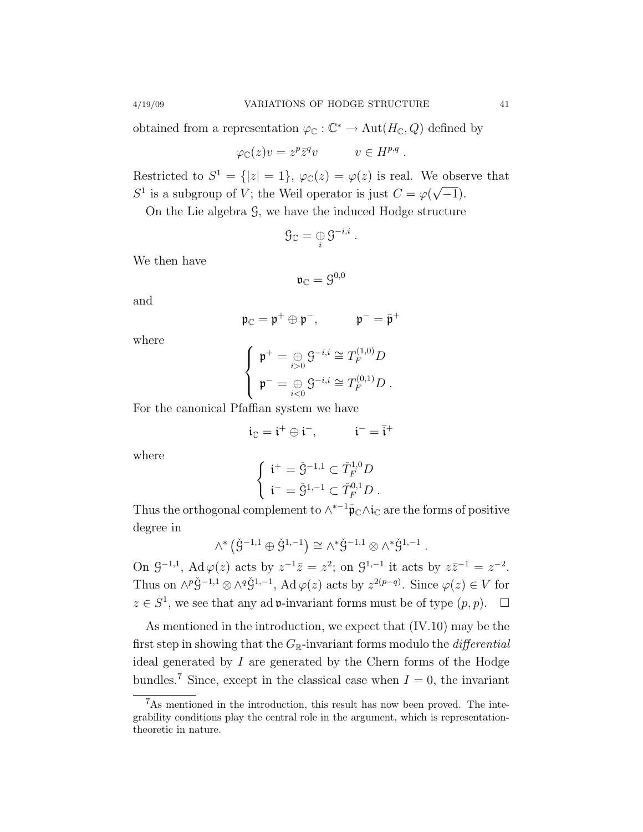obtained from a representation  $\varphi_{\mathbb{C}} : \mathbb{C}^* \to \text{Aut}(H_{\mathbb{C}}, Q)$  defined by

$$
\varphi_{\mathbb{C}}(z)v = z^p \bar{z}^q v \qquad v \in H^{p,q} .
$$

Restricted to  $S^1 = \{|z| = 1\}$ ,  $\varphi_{\mathbb{C}}(z) = \varphi(z)$  is real. We observe that  $S<sup>1</sup>$  is a subgroup of V; the Weil operator is just  $C = \varphi$ √  $\overline{-1}$ ).

On the Lie algebra G, we have the induced Hodge structure

$$
\mathcal{G}_{\mathbb{C}}=\underset{i}{\oplus}\,\mathcal{G}^{-i,i}.
$$

We then have

$$
\mathfrak{v}_\mathbb{C}=\mathfrak{G}^{0,0}
$$

and

$$
\mathfrak{p}_\mathbb{C} = \mathfrak{p}^+ \oplus \mathfrak{p}^-, \hspace{1cm} \mathfrak{p}^- = \bar{\mathfrak{p}}^+
$$

where

$$
\begin{cases}\n\mathfrak{p}^+ = \underset{i>0}{\oplus} \mathcal{G}^{-i,i} \cong T_F^{(1,0)} D \\
\mathfrak{p}^- = \underset{i<0}{\oplus} \mathcal{G}^{-i,i} \cong T_F^{(0,1)} D \ .\n\end{cases}
$$

For the canonical Pfaffian system we have

$$
\mathfrak{i}_{\mathbb{C}} = \mathfrak{i}^+ \oplus \mathfrak{i}^-, \qquad \qquad \mathfrak{i}^- = \overline{\mathfrak{i}}^+
$$

where

$$
\left\{ \begin{array}{l} \mathfrak{i}^+=\check{g}^{-1,1}\subset \check{T}_F^{1,0}D \\ \mathfrak{i}^-=\check{g}^{1,-1}\subset \check{T}_F^{0,1}D \end{array} \right. .
$$

Thus the orthogonal complement to  $\wedge^{*-1} \check{\mathfrak{p}}_{\mathbb{C}} \wedge i_{\mathbb{C}}$  are the forms of positive degree in

 $\wedge^* (\check{g}^{-1,1} \oplus \check{g}^{1,-1}) \cong \wedge^* \check{g}^{-1,1} \otimes \wedge^* \check{g}^{1,-1}.$ 

On  $\mathcal{G}^{-1,1}$ , Ad $\varphi(z)$  acts by  $z^{-1}\bar{z} = z^2$ ; on  $\mathcal{G}^{1,-1}$  it acts by  $z\bar{z}^{-1} = z^{-2}$ . Thus on  $\wedge^p \check{G}^{-1,1} \otimes \wedge^q \check{G}^{1,-1}$ , Ad  $\varphi(z)$  acts by  $z^{2(p-q)}$ . Since  $\varphi(z) \in V$  for  $z \in S^1$ , we see that any ad **v**-invariant forms must be of type  $(p, p)$ .  $\Box$ 

As mentioned in the introduction, we expect that (IV.10) may be the first step in showing that the  $G_{\mathbb{R}}$ -invariant forms modulo the *differential* ideal generated by  $I$  are generated by the Chern forms of the Hodge bundles.<sup>7</sup> Since, except in the classical case when  $I = 0$ , the invariant

<sup>7</sup>As mentioned in the introduction, this result has now been proved. The integrability conditions play the central role in the argument, which is representationtheoretic in nature.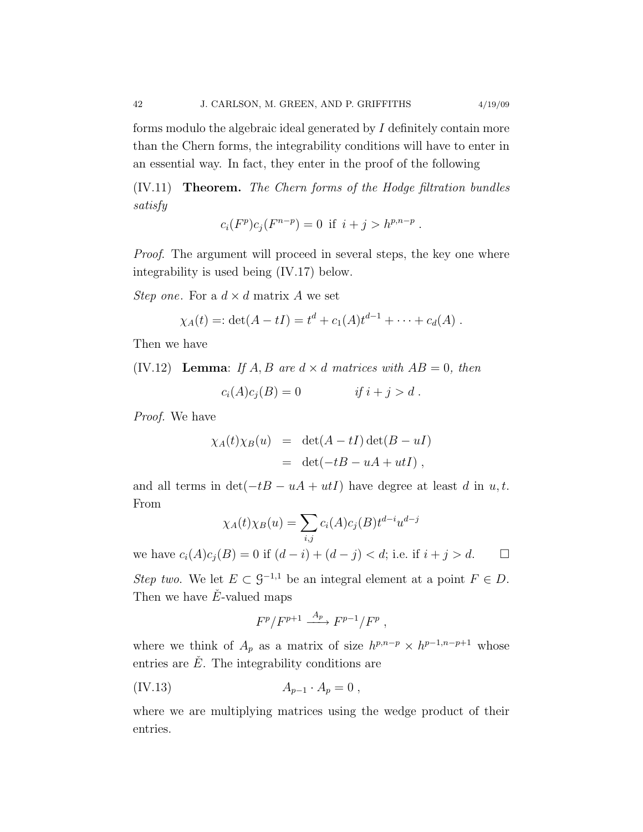forms modulo the algebraic ideal generated by I definitely contain more than the Chern forms, the integrability conditions will have to enter in an essential way. In fact, they enter in the proof of the following

(IV.11) Theorem. The Chern forms of the Hodge filtration bundles satisfy

$$
c_i(F^p)c_j(F^{n-p}) = 0
$$
 if  $i + j > h^{p,n-p}$ .

Proof. The argument will proceed in several steps, the key one where integrability is used being (IV.17) below.

Step one. For a  $d \times d$  matrix A we set

$$
\chi_A(t) =: \det(A - tI) = t^d + c_1(A)t^{d-1} + \cdots + c_d(A).
$$

Then we have

#### (IV.12) Lemma: If A, B are  $d \times d$  matrices with  $AB = 0$ , then

$$
c_i(A)c_j(B) = 0 \qquad \qquad if \ i + j > d \ .
$$

Proof. We have

$$
\chi_A(t)\chi_B(u) = \det(A - tI)\det(B - uI)
$$
  
= 
$$
\det(-tB - uA + utI),
$$

and all terms in  $\det(-tB - uA + utI)$  have degree at least d in u,t. From

$$
\chi_A(t)\chi_B(u) = \sum_{i,j} c_i(A)c_j(B)t^{d-i}u^{d-j}
$$

we have  $c_i(A)c_j(B) = 0$  if  $(d - i) + (d - j) < d$ ; i.e. if  $i + j > d$ . □

Step two. We let  $E \subset \mathcal{G}^{-1,1}$  be an integral element at a point  $F \in D$ . Then we have  $\dot{E}$ -valued maps

$$
F^p/F^{p+1} \xrightarrow{A_p} F^{p-1}/F^p ,
$$

where we think of  $A_p$  as a matrix of size  $h^{p,n-p} \times h^{p-1,n-p+1}$  whose entries are  $\check{E}$ . The integrability conditions are

(IV.13) 
$$
A_{p-1} \cdot A_p = 0,
$$

where we are multiplying matrices using the wedge product of their entries.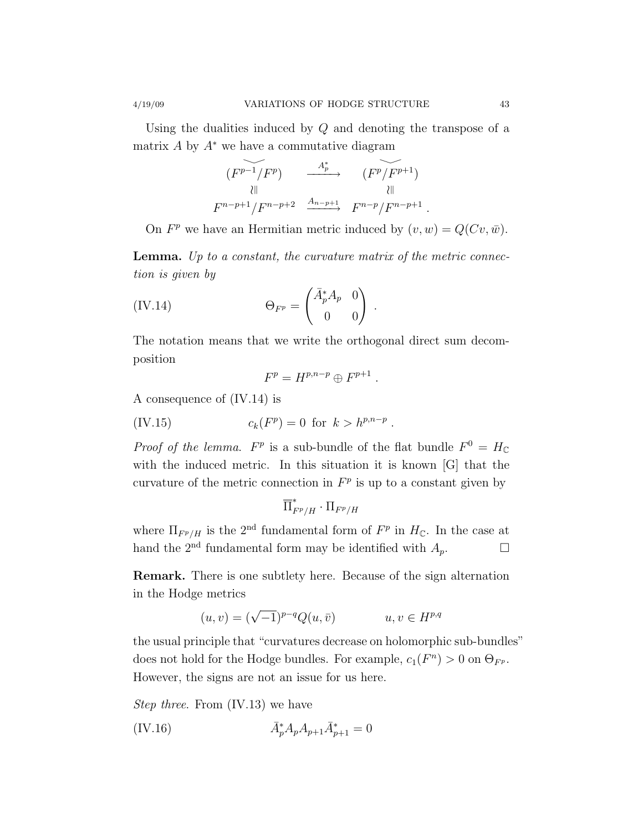Using the dualities induced by Q and denoting the transpose of a matrix  $A$  by  $A^*$  we have a commutative diagram

$$
(F^{p-1}/F^p) \longrightarrow (F^p/F^{p+1})
$$
  
\n
$$
F^{n-p+1}/F^{n-p+2} \xrightarrow{A_{n-p+1}} F^{n-p}/F^{n-p+1}.
$$

On  $F^p$  we have an Hermitian metric induced by  $(v, w) = Q(Cv, \bar{w})$ .

**Lemma.** Up to a constant, the curvature matrix of the metric connection is given by

.

(IV.14) 
$$
\Theta_{F^p} = \begin{pmatrix} \bar{A}_p^* A_p & 0 \\ 0 & 0 \end{pmatrix}
$$

The notation means that we write the orthogonal direct sum decomposition

$$
F^p = H^{p,n-p} \oplus F^{p+1} .
$$

A consequence of (IV.14) is

 $(IV.15)$  $p^{(p)} = 0$  for  $k > h^{p,n-p}$ .

*Proof of the lemma.*  $F^p$  is a sub-bundle of the flat bundle  $F^0 = H_{\mathbb{C}}$ with the induced metric. In this situation it is known [G] that the curvature of the metric connection in  $F<sup>p</sup>$  is up to a constant given by

$$
\overline{\Pi}^*_{F^p/H} \cdot \Pi_{F^p/H}
$$

where  $\Pi_{F^p/H}$  is the 2<sup>nd</sup> fundamental form of  $F^p$  in  $H_{\mathbb{C}}$ . In the case at hand the 2<sup>nd</sup> fundamental form may be identified with  $A_p$ .

Remark. There is one subtlety here. Because of the sign alternation in the Hodge metrics

$$
(u, v) = (\sqrt{-1})^{p-q} Q(u, \bar{v}) \qquad u, v \in H^{p,q}
$$

the usual principle that "curvatures decrease on holomorphic sub-bundles" does not hold for the Hodge bundles. For example,  $c_1(F^n) > 0$  on  $\Theta_{F^p}$ . However, the signs are not an issue for us here.

Step three. From (IV.13) we have

(IV.16) 
$$
\bar{A}_p^* A_p A_{p+1} \bar{A}_{p+1}^* = 0
$$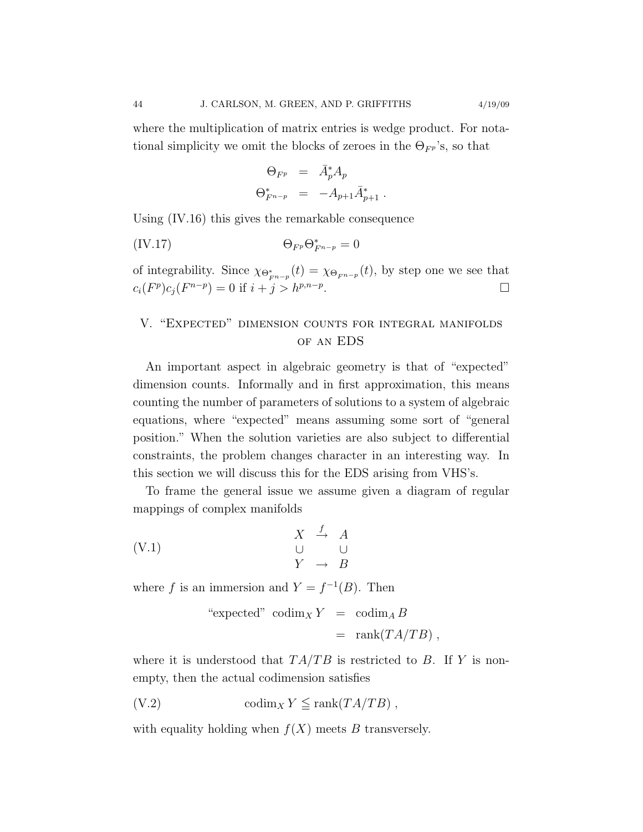where the multiplication of matrix entries is wedge product. For notational simplicity we omit the blocks of zeroes in the  $\Theta_{F_p}$ 's, so that

$$
\Theta_{F^p} = \bar{A}_p^* A_p
$$
  

$$
\Theta_{F^{n-p}}^* = -A_{p+1} \bar{A}_{p+1}^*.
$$

Using (IV.16) this gives the remarkable consequence

$$
(IV.17) \t\t \Theta_{F^p}\Theta_{F^{n-p}}^* = 0
$$

of integrability. Since  $\chi_{\Theta_{F^{n-p}}^*(t)} = \chi_{\Theta_{F^{n-p}}}(t)$ , by step one we see that  $c_i(F^p)c_j(F^{n-p}) = 0$  if  $i + j > h^{p,n-p}$ .

# V. "Expected" dimension counts for integral manifolds of an EDS

An important aspect in algebraic geometry is that of "expected" dimension counts. Informally and in first approximation, this means counting the number of parameters of solutions to a system of algebraic equations, where "expected" means assuming some sort of "general position." When the solution varieties are also subject to differential constraints, the problem changes character in an interesting way. In this section we will discuss this for the EDS arising from VHS's.

To frame the general issue we assume given a diagram of regular mappings of complex manifolds

$$
\begin{array}{rcl}\nX & \xrightarrow{f} & A \\
& \cup & \cup \\
Y & \to & B\n\end{array}
$$

where f is an immersion and  $Y = f^{-1}(B)$ . Then

"expected" 
$$
\text{codim}_X Y = \text{codim}_A B
$$
  
 $= \text{rank}(TA/TB)$ ,

where it is understood that  $TA/TB$  is restricted to B. If Y is nonempty, then the actual codimension satisfies

$$
(V.2) \t\operatorname{codim}_X Y \leqq \operatorname{rank}(TA/TB) ,
$$

with equality holding when  $f(X)$  meets B transversely.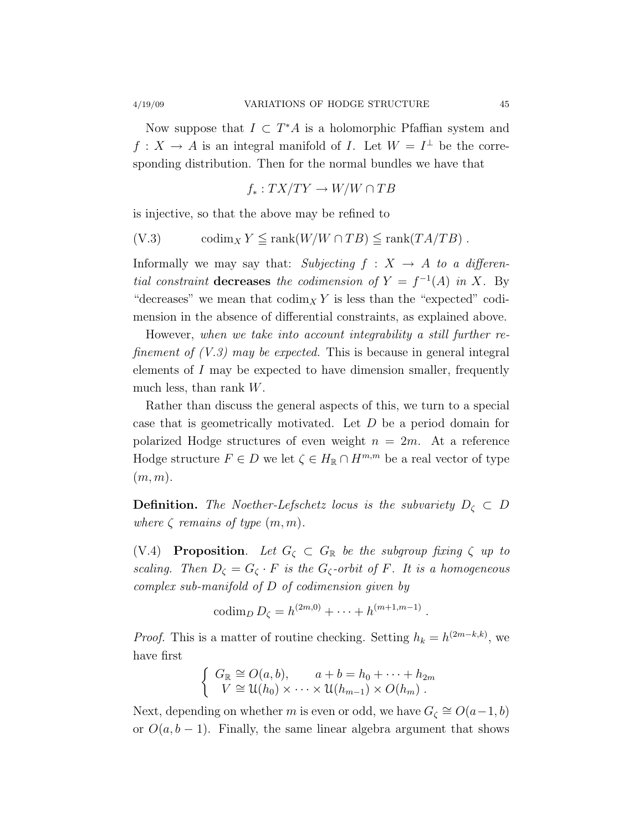Now suppose that  $I \subset T^*A$  is a holomorphic Pfaffian system and  $f: X \to A$  is an integral manifold of *I*. Let  $W = I^{\perp}$  be the corresponding distribution. Then for the normal bundles we have that

$$
f_*: TX/TY \to W/W \cap TB
$$

is injective, so that the above may be refined to

$$
(V.3) \t\operatorname{codim}_X Y \leqq \operatorname{rank}(W/W \cap TB) \leqq \operatorname{rank}(TA/TB) .
$$

Informally we may say that: Subjecting  $f : X \rightarrow A$  to a differential constraint decreases the codimension of  $Y = f^{-1}(A)$  in X. By "decreases" we mean that  $\operatorname{codim}_X Y$  is less than the "expected" codimension in the absence of differential constraints, as explained above.

However, when we take into account integrability a still further refinement of  $(V.3)$  may be expected. This is because in general integral elements of I may be expected to have dimension smaller, frequently much less, than rank W.

Rather than discuss the general aspects of this, we turn to a special case that is geometrically motivated. Let D be a period domain for polarized Hodge structures of even weight  $n = 2m$ . At a reference Hodge structure  $F \in D$  we let  $\zeta \in H_{\mathbb{R}} \cap H^{m,m}$  be a real vector of type  $(m, m)$ .

**Definition.** The Noether-Lefschetz locus is the subvariety  $D_{\zeta} \subset D$ where  $\zeta$  remains of type  $(m, m)$ .

(V.4) **Proposition**. Let  $G_{\zeta} \subset G_{\mathbb{R}}$  be the subgroup fixing  $\zeta$  up to scaling. Then  $D_{\zeta} = G_{\zeta} \cdot F$  is the  $G_{\zeta}$ -orbit of F. It is a homogeneous complex sub-manifold of D of codimension given by

$$
codim_D D_{\zeta} = h^{(2m,0)} + \cdots + h^{(m+1,m-1)}.
$$

*Proof.* This is a matter of routine checking. Setting  $h_k = h^{(2m-k,k)}$ , we have first

$$
\begin{cases} G_{\mathbb{R}} \cong O(a,b), & a+b = h_0 + \cdots + h_{2m} \\ V \cong \mathfrak{U}(h_0) \times \cdots \times \mathfrak{U}(h_{m-1}) \times O(h_m) \end{cases}.
$$

Next, depending on whether m is even or odd, we have  $G_\zeta \cong O(a-1,b)$ or  $O(a, b - 1)$ . Finally, the same linear algebra argument that shows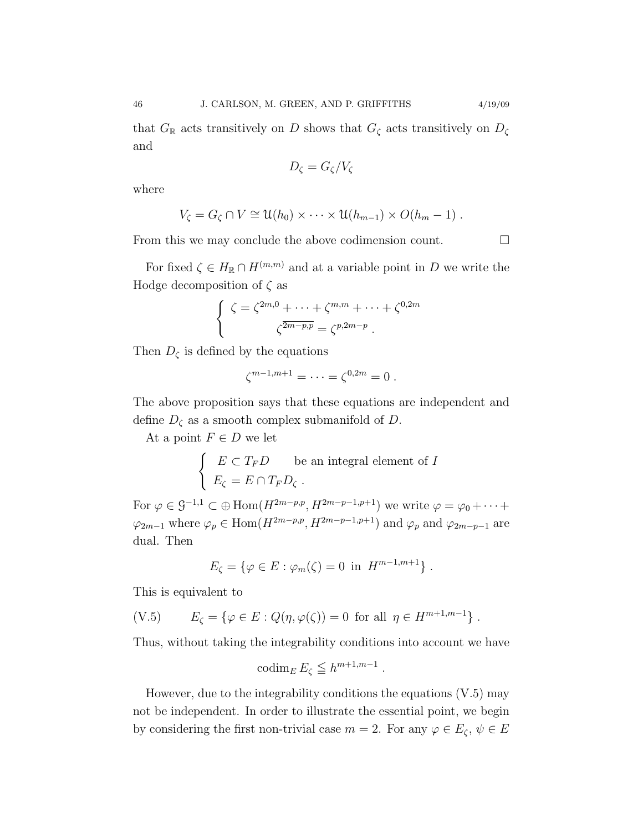that  $G_{\mathbb{R}}$  acts transitively on D shows that  $G_{\zeta}$  acts transitively on  $D_{\zeta}$ and

$$
D_{\zeta}=G_{\zeta}/V_{\zeta}
$$

where

$$
V_{\zeta}=G_{\zeta}\cap V\cong \mathfrak{U}(h_0)\times\cdots\times \mathfrak{U}(h_{m-1})\times O(h_m-1) .
$$

From this we may conclude the above codimension count.

For fixed  $\zeta \in H_{\mathbb{R}} \cap H^{(m,m)}$  and at a variable point in D we write the Hodge decomposition of  $\zeta$  as

$$
\begin{cases}\n\zeta = \zeta^{2m,0} + \cdots + \zeta^{m,m} + \cdots + \zeta^{0,2m} \\
\zeta^{2m-p,p} = \zeta^{p,2m-p} .\n\end{cases}
$$

Then  $D_{\zeta}$  is defined by the equations

$$
\zeta^{m-1,m+1}=\cdots=\zeta^{0,2m}=0.
$$

The above proposition says that these equations are independent and define  $D_{\zeta}$  as a smooth complex submanifold of D.

At a point  $F \in D$  we let

$$
\begin{cases} E \subset T_F D & \text{be an integral element of } I \\ E_{\zeta} = E \cap T_F D_{\zeta} . \end{cases}
$$

For  $\varphi \in \mathcal{G}^{-1,1} \subset \oplus \text{Hom}(H^{2m-p,p}, H^{2m-p-1,p+1})$  we write  $\varphi = \varphi_0 + \cdots + \varphi_n$  $\varphi_{2m-1}$  where  $\varphi_p \in \text{Hom}(H^{2m-p,p}, H^{2m-p-1,p+1})$  and  $\varphi_p$  and  $\varphi_{2m-p-1}$  are dual. Then

$$
E_{\zeta} = \{ \varphi \in E : \varphi_m(\zeta) = 0 \text{ in } H^{m-1,m+1} \} .
$$

This is equivalent to

$$
(V.5) \tE_{\zeta} = \{ \varphi \in E : Q(\eta, \varphi(\zeta)) = 0 \text{ for all } \eta \in H^{m+1,m-1} \}.
$$

Thus, without taking the integrability conditions into account we have

$$
\mathrm{codim}_E E_\zeta \leqq h^{m+1,m-1} .
$$

However, due to the integrability conditions the equations  $(V.5)$  may not be independent. In order to illustrate the essential point, we begin by considering the first non-trivial case  $m = 2$ . For any  $\varphi \in E_{\zeta}, \psi \in E$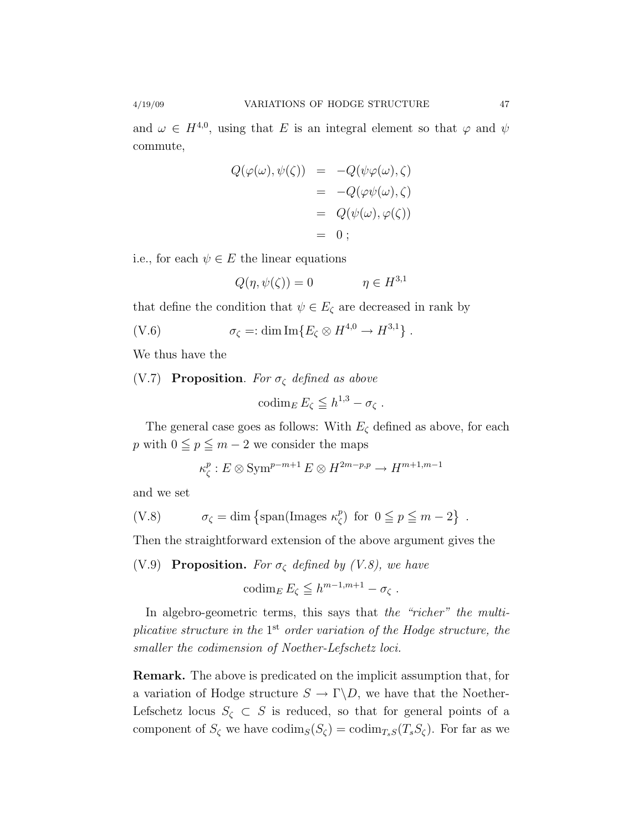and  $\omega \in H^{4,0}$ , using that E is an integral element so that  $\varphi$  and  $\psi$ commute,

$$
Q(\varphi(\omega), \psi(\zeta)) = -Q(\psi\varphi(\omega), \zeta)
$$
  
= -Q(\varphi\psi(\omega), \zeta)  
= Q(\psi(\omega), \varphi(\zeta))  
= 0;

i.e., for each  $\psi \in E$  the linear equations

$$
Q(\eta, \psi(\zeta)) = 0 \qquad \eta \in H^{3,1}
$$

that define the condition that  $\psi \in E_{\zeta}$  are decreased in rank by

$$
(V.6) \t\t \sigma_{\zeta} =: \dim \mathrm{Im}\{E_{\zeta} \otimes H^{4,0} \to H^{3,1}\}.
$$

We thus have the

(V.7) Proposition. For  $\sigma_{\zeta}$  defined as above

$$
\mathrm{codim}_E E_\zeta \leqq h^{1,3} - \sigma_\zeta .
$$

The general case goes as follows: With  $E_{\zeta}$  defined as above, for each p with  $0 \leq p \leq m-2$  we consider the maps

$$
\kappa_{\zeta}^{p}: E \otimes \text{Sym}^{p-m+1} E \otimes H^{2m-p,p} \to H^{m+1,m-1}
$$

and we set

$$
(V.8) \t\t \sigma_{\zeta} = \dim \left\{ \text{span}(\text{Images } \kappa_{\zeta}^{p}) \text{ for } 0 \leq p \leq m - 2 \right\} .
$$

Then the straightforward extension of the above argument gives the

(V.9) **Proposition.** For  $\sigma_{\zeta}$  defined by (V.8), we have

$$
\operatorname{codim}_E E_{\zeta} \leqq h^{m-1,m+1} - \sigma_{\zeta} .
$$

In algebro-geometric terms, this says that the "richer" the multiplicative structure in the  $1<sup>st</sup>$  order variation of the Hodge structure, the smaller the codimension of Noether-Lefschetz loci.

Remark. The above is predicated on the implicit assumption that, for a variation of Hodge structure  $S \to \Gamma \backslash D$ , we have that the Noether-Lefschetz locus  $S_{\zeta} \subset S$  is reduced, so that for general points of a component of  $S_{\zeta}$  we have  $\text{codim}_S(S_{\zeta}) = \text{codim}_{T_sS}(T_sS_{\zeta})$ . For far as we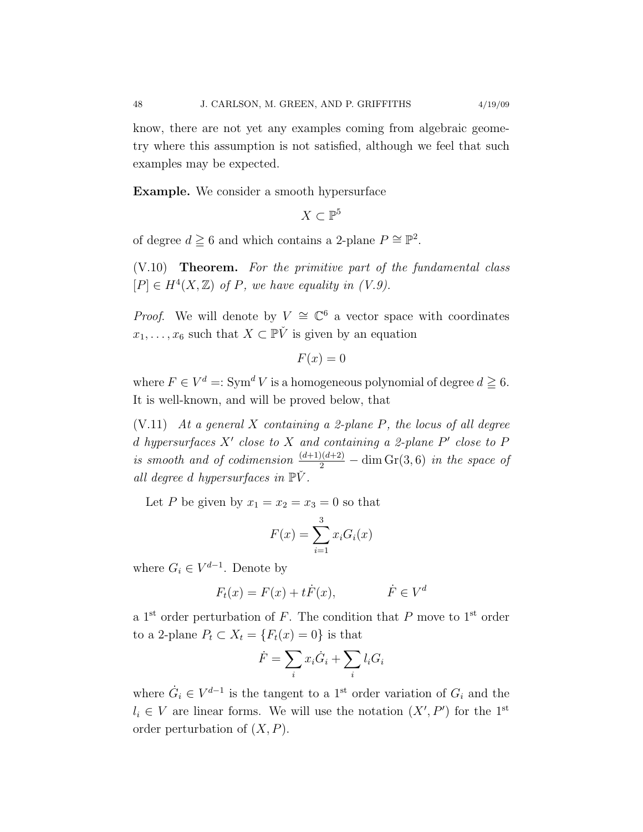know, there are not yet any examples coming from algebraic geometry where this assumption is not satisfied, although we feel that such examples may be expected.

Example. We consider a smooth hypersurface

$$
X\subset \mathbb{P}^5
$$

of degree  $d \geq 6$  and which contains a 2-plane  $P \cong \mathbb{P}^2$ .

(V.10) Theorem. For the primitive part of the fundamental class  $[P] \in H^4(X,\mathbb{Z})$  of P, we have equality in  $(V.9)$ .

*Proof.* We will denote by  $V \cong \mathbb{C}^6$  a vector space with coordinates  $x_1, \ldots, x_6$  such that  $X \subset \mathbb{P}\check{V}$  is given by an equation

 $F(x) = 0$ 

where  $F \in V^d =: \text{Sym}^d V$  is a homogeneous polynomial of degree  $d \geq 6$ . It is well-known, and will be proved below, that

 $(V.11)$  At a general X containing a 2-plane P, the locus of all degree d hypersurfaces  $X'$  close to  $X$  and containing a 2-plane  $P'$  close to  $P$ is smooth and of codimension  $\frac{(d+1)(d+2)}{2}$  – dim Gr(3,6) in the space of all degree d hypersurfaces in  $\mathbb{P}\check{V}$ .

Let P be given by  $x_1 = x_2 = x_3 = 0$  so that

$$
F(x) = \sum_{i=1}^{3} x_i G_i(x)
$$

where  $G_i \in V^{d-1}$ . Denote by

$$
F_t(x) = F(x) + t\dot{F}(x), \qquad \dot{F} \in V^d
$$

a 1<sup>st</sup> order perturbation of F. The condition that P move to 1<sup>st</sup> order to a 2-plane  $P_t \subset X_t = \{F_t(x) = 0\}$  is that

$$
\dot{F} = \sum_i x_i \dot{G}_i + \sum_i l_i G_i
$$

where  $\dot{G}_i \in V^{d-1}$  is the tangent to a 1<sup>st</sup> order variation of  $G_i$  and the  $l_i \in V$  are linear forms. We will use the notation  $(X', P')$  for the 1<sup>st</sup> order perturbation of  $(X, P)$ .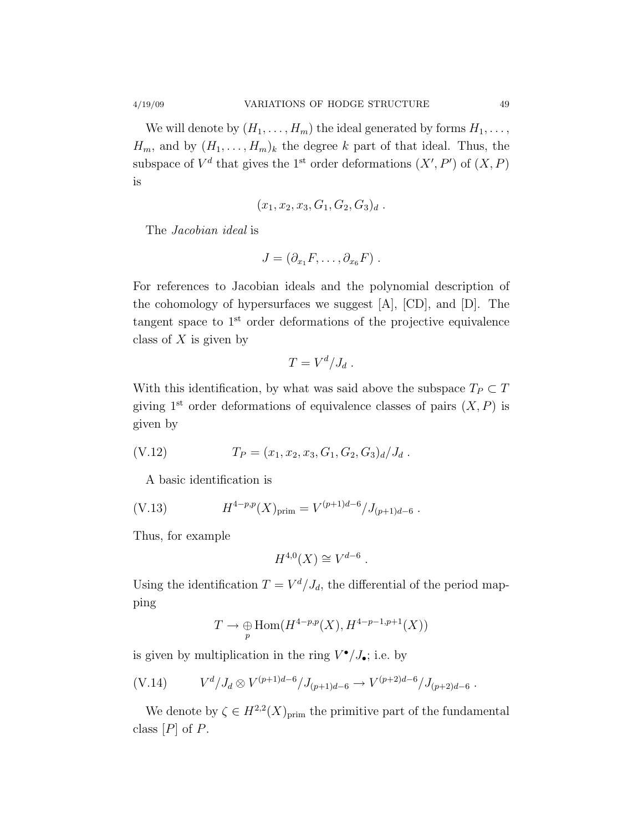We will denote by  $(H_1, \ldots, H_m)$  the ideal generated by forms  $H_1, \ldots,$  $H_m$ , and by  $(H_1, \ldots, H_m)_k$  the degree k part of that ideal. Thus, the subspace of  $V^d$  that gives the 1<sup>st</sup> order deformations  $(X', P')$  of  $(X, P)$ is

$$
(x_1, x_2, x_3, G_1, G_2, G_3)_d
$$
.

The Jacobian ideal is

$$
J=(\partial_{x_1}F,\ldots,\partial_{x_6}F)\ .
$$

For references to Jacobian ideals and the polynomial description of the cohomology of hypersurfaces we suggest [A], [CD], and [D]. The tangent space to  $1<sup>st</sup>$  order deformations of the projective equivalence class of  $X$  is given by

$$
T = V^d / J_d .
$$

With this identification, by what was said above the subspace  $T_P \subset T$ giving 1<sup>st</sup> order deformations of equivalence classes of pairs  $(X, P)$  is given by

$$
(V.12) \tTP = (x1, x2, x3, G1, G2, G3)d/Jd.
$$

A basic identification is

$$
(V.13) \t\t H^{4-p,p}(X)_{\text{prim}} = V^{(p+1)d-6}/J_{(p+1)d-6} .
$$

Thus, for example

$$
H^{4,0}(X) \cong V^{d-6}.
$$

Using the identification  $T = V^d / J_d$ , the differential of the period mapping

$$
T \to \bigoplus_{p} \text{Hom}(H^{4-p,p}(X), H^{4-p-1,p+1}(X))
$$

is given by multiplication in the ring  $V^{\bullet}/J_{\bullet}$ ; i.e. by

$$
(V.14) \tVd/Jd \otimes V(p+1)d-6/J(p+1)d-6 \to V(p+2)d-6/J(p+2)d-6.
$$

We denote by  $\zeta \in H^{2,2}(X)_{\text{prim}}$  the primitive part of the fundamental class  $[P]$  of  $P$ .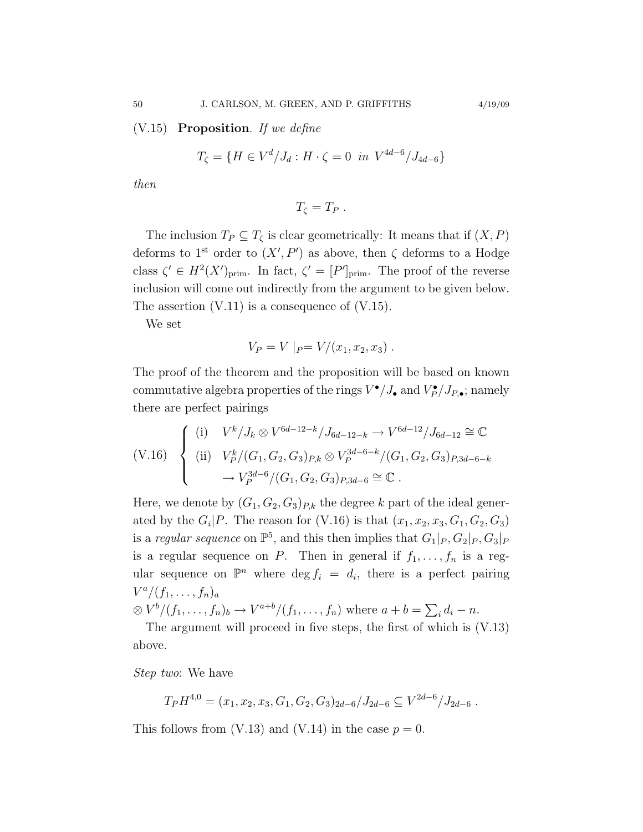$(V.15)$  **Proposition**. If we define

$$
T_{\zeta} = \{ H \in V^d / J_d : H \cdot \zeta = 0 \text{ in } V^{4d - 6} / J_{4d - 6} \}
$$

then

$$
T_{\zeta}=T_P.
$$

The inclusion  $T_P \subseteq T_\zeta$  is clear geometrically: It means that if  $(X, P)$ deforms to 1<sup>st</sup> order to  $(X', P')$  as above, then  $\zeta$  deforms to a Hodge class  $\zeta' \in H^2(X')_{\text{prim}}$ . In fact,  $\zeta' = [P']_{\text{prim}}$ . The proof of the reverse inclusion will come out indirectly from the argument to be given below. The assertion (V.11) is a consequence of (V.15).

We set

$$
V_P = V |_{P} = V/(x_1, x_2, x_3) .
$$

The proof of the theorem and the proposition will be based on known commutative algebra properties of the rings  $V^{\bullet}/J_{\bullet}$  and  $V^{\bullet}_{P}/J_{P,\bullet}$ ; namely there are perfect pairings

$$
(V.16) \begin{cases} (i) & V^k/J_k \otimes V^{6d-12-k}/J_{6d-12-k} \to V^{6d-12}/J_{6d-12} \cong \mathbb{C} \\ (ii) & V^k_P/(G_1, G_2, G_3)_{P,k} \otimes V^{3d-6-k}_P/(G_1, G_2, G_3)_{P,3d-6-k} \\ & \to V^{3d-6}_P/(G_1, G_2, G_3)_{P,3d-6} \cong \mathbb{C} \end{cases}
$$

Here, we denote by  $(G_1, G_2, G_3)_{P,k}$  the degree k part of the ideal generated by the  $G_i|P$ . The reason for (V.16) is that  $(x_1, x_2, x_3, G_1, G_2, G_3)$ is a regular sequence on  $\mathbb{P}^5$ , and this then implies that  $G_1|_P, G_2|_P, G_3|_P$ is a regular sequence on P. Then in general if  $f_1, \ldots, f_n$  is a regular sequence on  $\mathbb{P}^n$  where  $\deg f_i = d_i$ , there is a perfect pairing  $V^a/(f_1,\ldots,f_n)_a$ 

 $\otimes V^b/(f_1,\ldots,f_n)_b \to V^{a+b}/(f_1,\ldots,f_n)$  where  $a+b=\sum_i d_i-n$ .

The argument will proceed in five steps, the first of which is (V.13) above.

Step two: We have

$$
T_P H^{4,0} = (x_1, x_2, x_3, G_1, G_2, G_3)_{2d-6} / J_{2d-6} \subseteq V^{2d-6} / J_{2d-6} .
$$

This follows from  $(V.13)$  and  $(V.14)$  in the case  $p = 0$ .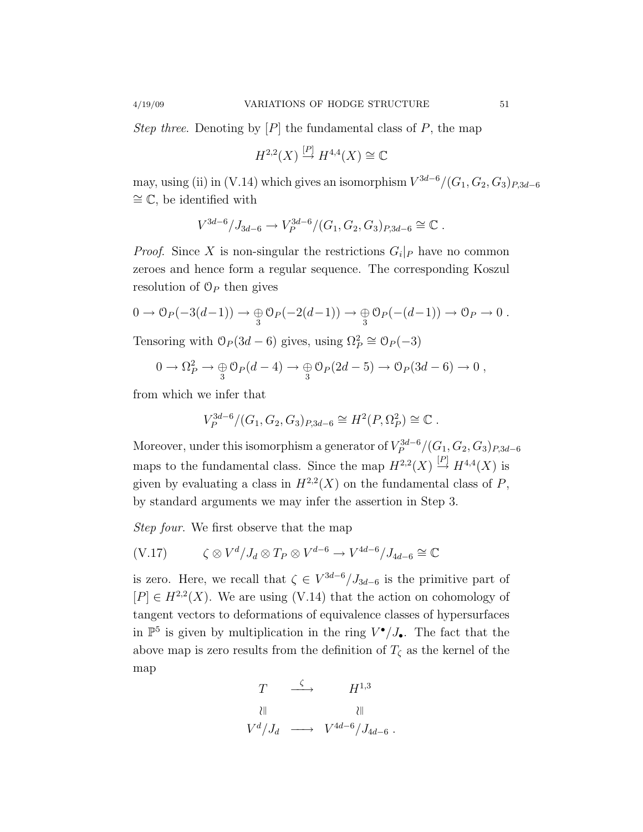Step three. Denoting by  $[P]$  the fundamental class of P, the map

$$
H^{2,2}(X) \stackrel{[P]}{\to} H^{4,4}(X) \cong \mathbb{C}
$$

may, using (ii) in (V.14) which gives an isomorphism  $V^{3d-6}/(G_1, G_2, G_3)_{P,3d-6}$ ∼= C, be identified with

$$
V^{3d-6}/J_{3d-6} \to V_P^{3d-6}/(G_1, G_2, G_3)_{P,3d-6} \cong \mathbb{C} .
$$

*Proof.* Since X is non-singular the restrictions  $G_i|_P$  have no common zeroes and hence form a regular sequence. The corresponding Koszul resolution of  $\mathcal{O}_P$  then gives

$$
0 \to \mathcal{O}_P(-3(d-1)) \to \mathcal{O}_P(-2(d-1)) \to \mathcal{O}_P(-(d-1)) \to \mathcal{O}_P \to 0.
$$

Tensoring with  $\mathcal{O}_P(3d - 6)$  gives, using  $\Omega_P^2 \cong \mathcal{O}_P(-3)$ 

$$
0 \to \Omega_P^2 \to \underset{3}{\oplus} \mathcal{O}_P(d-4) \to \underset{3}{\oplus} \mathcal{O}_P(2d-5) \to \mathcal{O}_P(3d-6) \to 0,
$$

from which we infer that

$$
V_P^{3d-6}/(G_1, G_2, G_3)_{P,3d-6} \cong H^2(P, \Omega_P^2) \cong \mathbb{C} .
$$

Moreover, under this isomorphism a generator of  $V_P^{3d-6}$  $P^{3d-6}/(G_1,G_2,G_3)_{P,3d-6}$ maps to the fundamental class. Since the map  $H^{2,2}(X) \stackrel{[P]}{\to} H^{4,4}(X)$  is given by evaluating a class in  $H^{2,2}(X)$  on the fundamental class of P, by standard arguments we may infer the assertion in Step 3.

Step four. We first observe that the map

$$
(V.17) \qquad \zeta \otimes V^d / J_d \otimes T_P \otimes V^{d-6} \to V^{4d-6} / J_{4d-6} \cong \mathbb{C}
$$

is zero. Here, we recall that  $\zeta \in V^{3d-6}/J_{3d-6}$  is the primitive part of  $[P] \in H^{2,2}(X)$ . We are using (V.14) that the action on cohomology of tangent vectors to deformations of equivalence classes of hypersurfaces in  $\mathbb{P}^5$  is given by multiplication in the ring  $V^{\bullet}/J_{\bullet}$ . The fact that the above map is zero results from the definition of  $T_{\zeta}$  as the kernel of the map

$$
T \xrightarrow{\zeta} H^{1,3}
$$
  
\n
$$
\langle \parallel \qquad \qquad \langle \parallel
$$
  
\n
$$
V^d/J_d \xrightarrow{V^{4d-6}} V^{4d-6}/J_{4d-6}.
$$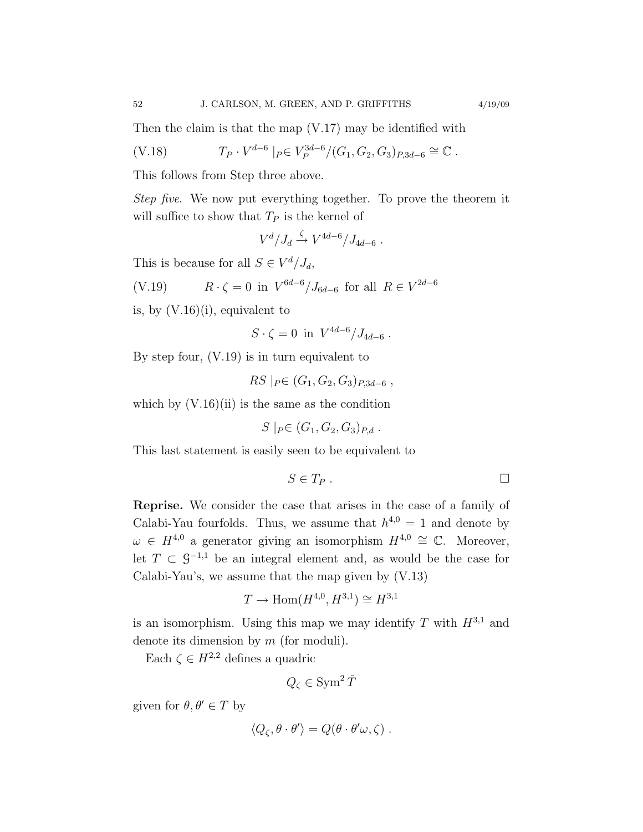Then the claim is that the map (V.17) may be identified with

$$
(V.18) \t T_P \cdot V^{d-6} \mid_P \in V_P^{3d-6} / (G_1, G_2, G_3)_{P,3d-6} \cong \mathbb{C} .
$$

This follows from Step three above.

Step five. We now put everything together. To prove the theorem it will suffice to show that  $T_P$  is the kernel of

$$
V^d/J_d \xrightarrow{\zeta} V^{4d-6}/J_{4d-6} .
$$

This is because for all  $S \in V^d/J_d$ ,

(V.19) 
$$
R \cdot \zeta = 0
$$
 in  $V^{6d-6}/J_{6d-6}$  for all  $R \in V^{2d-6}$ 

is, by  $(V.16)(i)$ , equivalent to

$$
S \cdot \zeta = 0
$$
 in  $V^{4d-6}/J_{4d-6}$ .

By step four, (V.19) is in turn equivalent to

$$
RS |_{P} \in (G_1, G_2, G_3)_{P,3d-6}
$$
,

which by  $(V.16)(ii)$  is the same as the condition

$$
S |_{P} \in (G_1, G_2, G_3)_{P,d} .
$$

This last statement is easily seen to be equivalent to

$$
S\in T_P\;.
$$

Reprise. We consider the case that arises in the case of a family of Calabi-Yau fourfolds. Thus, we assume that  $h^{4,0} = 1$  and denote by  $\omega \in H^{4,0}$  a generator giving an isomorphism  $H^{4,0} \cong \mathbb{C}$ . Moreover, let  $T \subset \mathcal{G}^{-1,1}$  be an integral element and, as would be the case for Calabi-Yau's, we assume that the map given by (V.13)

$$
T \to \text{Hom}(H^{4,0}, H^{3,1}) \cong H^{3,1}
$$

is an isomorphism. Using this map we may identify  $T$  with  $H^{3,1}$  and denote its dimension by m (for moduli).

Each  $\zeta \in H^{2,2}$  defines a quadric

$$
Q_{\zeta} \in \text{Sym}^2 \check{T}
$$

given for  $\theta, \theta' \in T$  by

$$
\langle Q_{\zeta}, \theta \cdot \theta' \rangle = Q(\theta \cdot \theta' \omega, \zeta) .
$$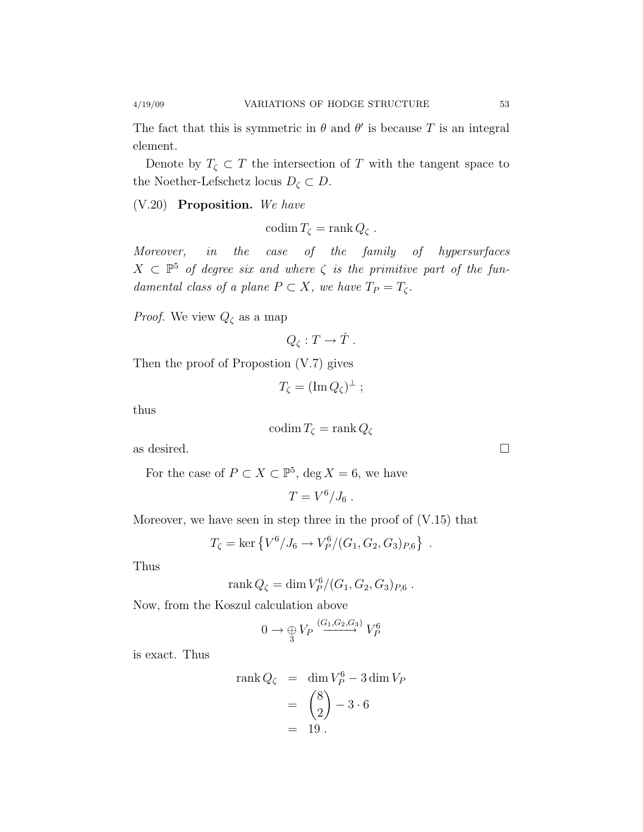The fact that this is symmetric in  $\theta$  and  $\theta'$  is because T is an integral element.

Denote by  $T_{\zeta} \subset T$  the intersection of T with the tangent space to the Noether-Lefschetz locus  $D_{\zeta} \subset D$ .

(V.20) Proposition. We have

$$
\mathrm{codim}\, T_{\zeta}=\mathrm{rank}\, Q_{\zeta} .
$$

Moreover, in the case of the family of hypersurfaces  $X \subset \mathbb{P}^5$  of degree six and where  $\zeta$  is the primitive part of the fundamental class of a plane  $P \subset X$ , we have  $T_P = T_\zeta$ .

*Proof.* We view  $Q_{\zeta}$  as a map

$$
Q_{\zeta}:T\to\check{T} .
$$

Then the proof of Propostion (V.7) gives

$$
T_{\zeta} = (\operatorname{Im} Q_{\zeta})^{\perp} ;
$$

thus

$$
\operatorname{codim} T_{\zeta} = \operatorname{rank} Q_{\zeta}
$$

as desired.  $\Box$ 

For the case of  $P \subset X \subset \mathbb{P}^5$ , deg  $X = 6$ , we have

$$
T = V^6/J_6.
$$

Moreover, we have seen in step three in the proof of (V.15) that

$$
T_{\zeta} = \ker \left\{ V^6 / J_6 \to V_P^6 / (G_1, G_2, G_3)_{P,6} \right\} .
$$

Thus

rank 
$$
Q_{\zeta} = \dim V_P^6/(G_1, G_2, G_3)_{P,6}
$$
.

Now, from the Koszul calculation above

$$
0 \to \bigoplus_{3} V_P \xrightarrow{(G_1, G_2, G_3)} V_P^6
$$

is exact. Thus

$$
\operatorname{rank} Q_{\zeta} = \dim V_P^6 - 3 \dim V_P
$$

$$
= \binom{8}{2} - 3 \cdot 6
$$

$$
= 19.
$$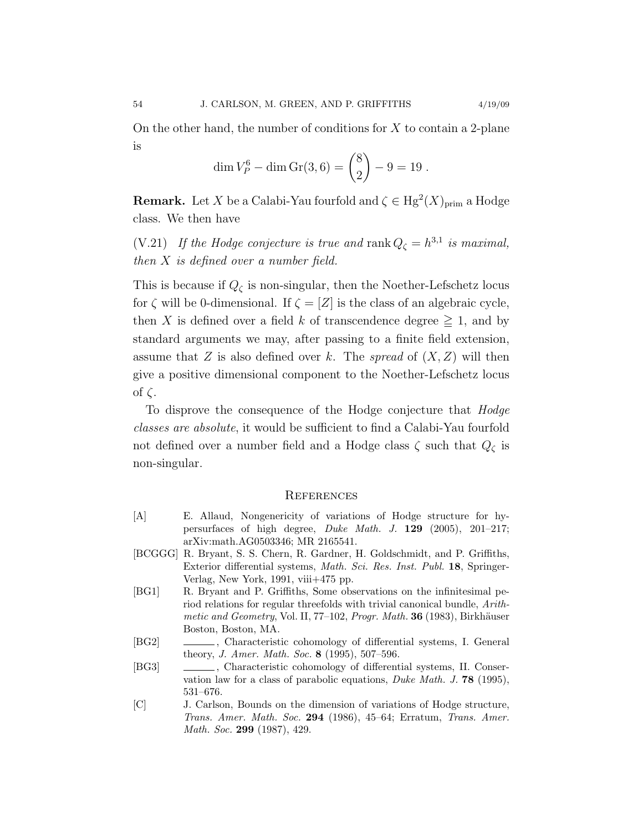On the other hand, the number of conditions for  $X$  to contain a 2-plane is

$$
\dim V_P^6 - \dim \operatorname{Gr}(3, 6) = {8 \choose 2} - 9 = 19.
$$

**Remark.** Let X be a Calabi-Yau fourfold and  $\zeta \in Hg^2(X)_{\text{prim}}$  a Hodge class. We then have

(V.21) If the Hodge conjecture is true and rank  $Q_{\zeta} = h^{3,1}$  is maximal, then X is defined over a number field.

This is because if  $Q_{\zeta}$  is non-singular, then the Noether-Lefschetz locus for  $\zeta$  will be 0-dimensional. If  $\zeta = \lfloor Z \rfloor$  is the class of an algebraic cycle, then X is defined over a field k of transcendence degree  $\geq 1$ , and by standard arguments we may, after passing to a finite field extension, assume that Z is also defined over k. The spread of  $(X, Z)$  will then give a positive dimensional component to the Noether-Lefschetz locus of ζ.

To disprove the consequence of the Hodge conjecture that Hodge classes are absolute, it would be sufficient to find a Calabi-Yau fourfold not defined over a number field and a Hodge class  $\zeta$  such that  $Q_{\zeta}$  is non-singular.

#### **REFERENCES**

- [A] E. Allaud, Nongenericity of variations of Hodge structure for hypersurfaces of high degree, Duke Math. J. 129 (2005), 201–217; arXiv:math.AG0503346; MR 2165541.
- [BCGGG] R. Bryant, S. S. Chern, R. Gardner, H. Goldschmidt, and P. Griffiths, Exterior differential systems, Math. Sci. Res. Inst. Publ. 18, Springer-Verlag, New York, 1991, viii+475 pp.
- [BG1] R. Bryant and P. Griffiths, Some observations on the infinitesimal period relations for regular threefolds with trivial canonical bundle, Arithmetic and Geometry, Vol. II, 77–102, Progr. Math. 36 (1983), Birkhäuser Boston, Boston, MA.
- [BG2] , Characteristic cohomology of differential systems, I. General theory, J. Amer. Math. Soc. 8 (1995), 507–596.
- [BG3] , Characteristic cohomology of differential systems, II. Conservation law for a class of parabolic equations, Duke Math. J. 78 (1995), 531–676.
- [C] J. Carlson, Bounds on the dimension of variations of Hodge structure, Trans. Amer. Math. Soc. 294 (1986), 45–64; Erratum, Trans. Amer. Math. Soc. 299 (1987), 429.